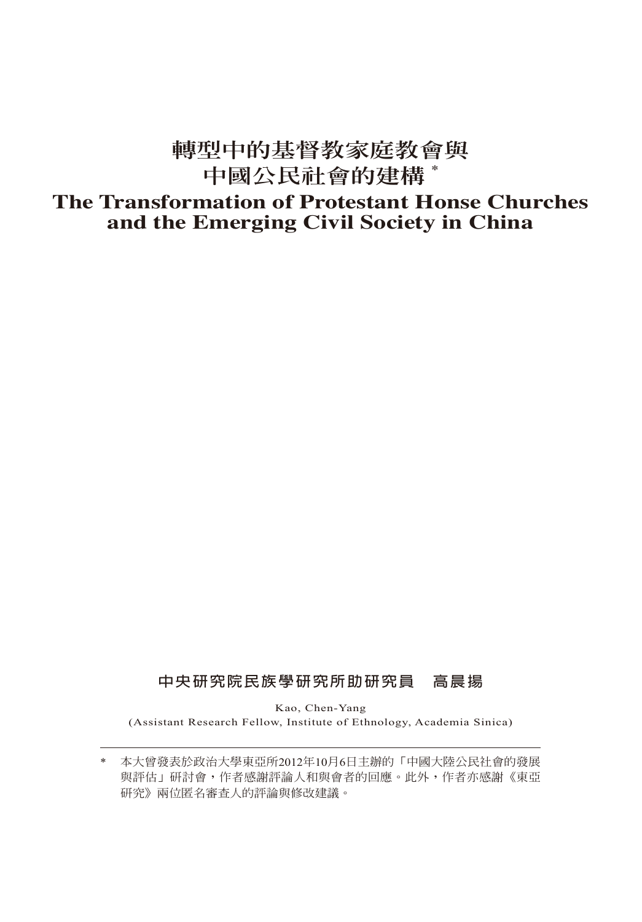# **轉型中的基督教家庭教會與 中國公民社會的建構 \***

# **The Transformation of Protestant Honse Churches and the Emerging Civil Society in China**

## **中央研究院民族學研究所助研究員 高晨揚**

Kao, Chen-Yang (Assistant Research Fellow, Institute of Ethnology, Academia Sinica)

<sup>\*</sup> 本大曾發表於政治大學東亞所2012年10月6日主辦的「中國大陸公民社會的發展 與評估」研討會,作者感謝評論人和與會者的回應。此外,作者亦感謝《東亞 研究》兩位匿名審查人的評論與修改建議。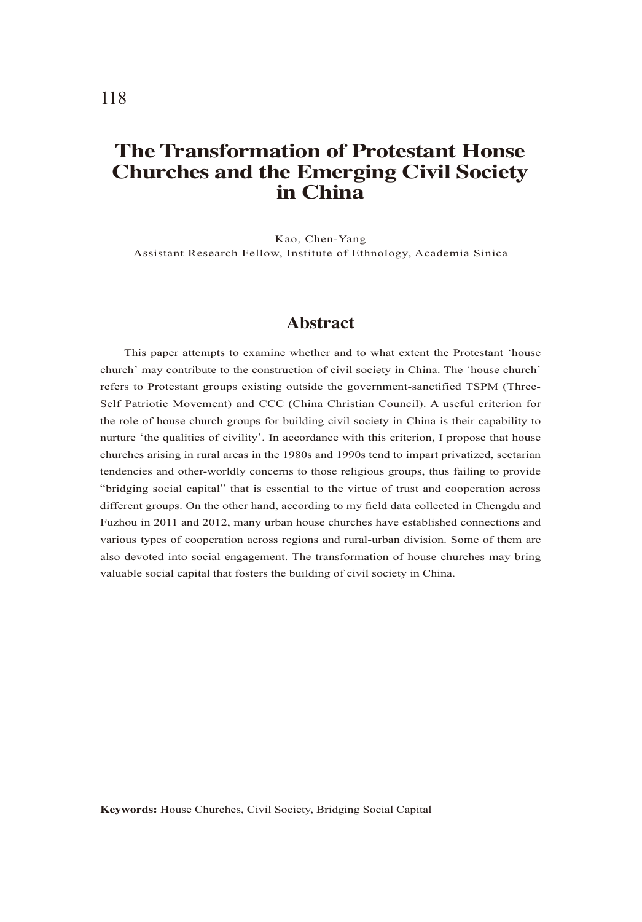# **The Transformation of Protestant Honse Churches and the Emerging Civil Society in China**

Kao, Chen-Yang Assistant Research Fellow, Institute of Ethnology, Academia Sinica

#### **Abstract**

This paper attempts to examine whether and to what extent the Protestant 'house church' may contribute to the construction of civil society in China. The 'house church' refers to Protestant groups existing outside the government-sanctified TSPM (Three-Self Patriotic Movement) and CCC (China Christian Council). A useful criterion for the role of house church groups for building civil society in China is their capability to nurture 'the qualities of civility'. In accordance with this criterion, I propose that house churches arising in rural areas in the 1980s and 1990s tend to impart privatized, sectarian tendencies and other-worldly concerns to those religious groups, thus failing to provide "bridging social capital" that is essential to the virtue of trust and cooperation across different groups. On the other hand, according to my field data collected in Chengdu and Fuzhou in 2011 and 2012, many urban house churches have established connections and various types of cooperation across regions and rural-urban division. Some of them are also devoted into social engagement. The transformation of house churches may bring valuable social capital that fosters the building of civil society in China.

**Keywords:** House Churches, Civil Society, Bridging Social Capital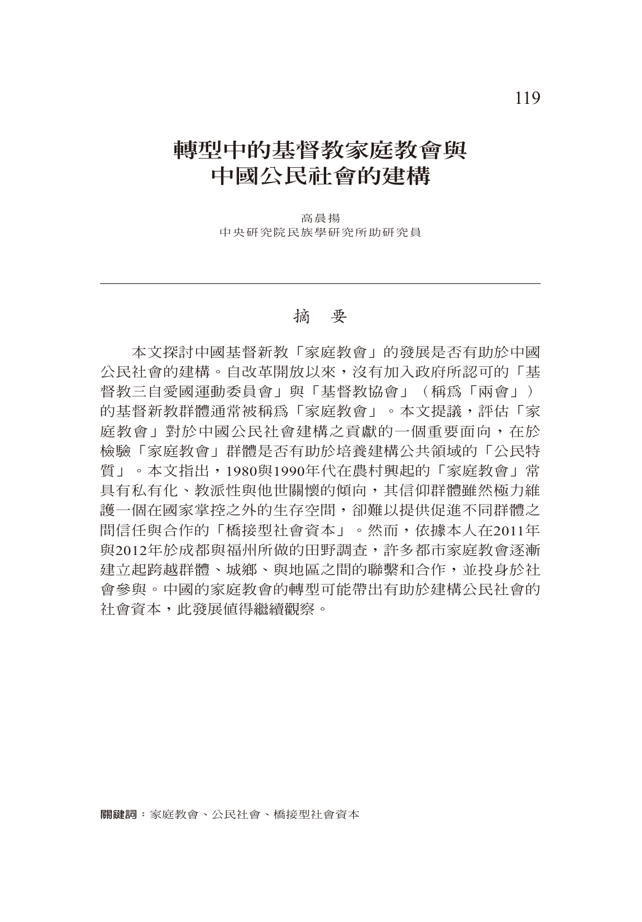# **轉型中的基督教家庭教會與 中國公民社會的建構**

高晨揚 中央研究院民族學研究所助研究員

#### 摘 要

本文探討中國基督新教「家庭教會」的發展是否有助於中國 公民社會的建構。自改革開放以來,沒有加入政府所認可的「基 督教三自愛國運動委員會」與「基督教協會」(稱為「兩會」) 的基督新教群體通常被稱為「家庭教會」。本文提議,評估「家 庭教會」對於中國公民社會建構之貢獻的一個重要面向,在於 檢驗「家庭教會」群體是否有助於培養建構公共領域的「公民特 質」。本文指出,1980與1990年代在農村興起的「家庭教會」常 具有私有化、教派性與他世關懷的傾向,其信仰群體雖然極力維 護一個在國家掌控之外的生存空間,卻難以提供促進不同群體之 間信任與合作的「橋接型社會資本」。然而,依據本人在2011年 與2012年於成都與福州所做的田野調查,許多都市家庭教會逐漸 建立起跨越群體、城鄉、與地區之間的聯繫和合作,並投身於社 會參與。中國的家庭教會的轉型可能帶出有助於建構公民社會的 社會資本,此發展值得繼續觀察。

**關鍵詞:**家庭教會、公民社會、橋接型社會資本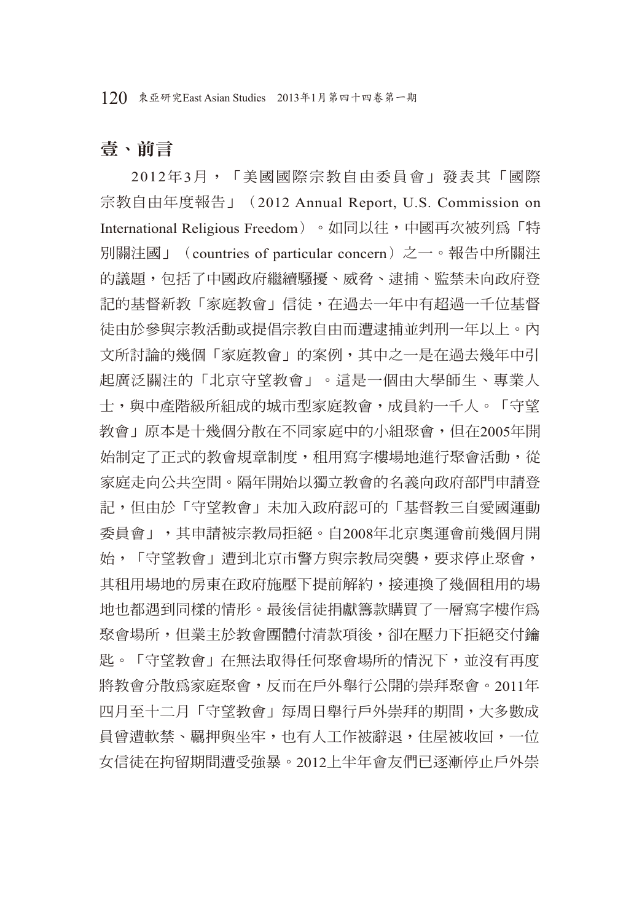120 東亞研究East Asian Studies 2013年1月第四十四卷第一期

## 壹、前言

2012年3月,「美國國際宗教自由委員會」發表其「國際 宗教自由年度報告」(2012 Annual Report, U.S. Commission on International Religious Freedom)。如同以往,中國再次被列為「特 別關注國」(countries of particular concern)之一。報告中所關注 的議題,包括了中國政府繼續騷擾、威脅、逮捕、監禁未向政府登 記的基督新教「家庭教會」信徒, 在過去一年中有超過一千位基督 徒由於參與宗教活動或提倡宗教自由而遭逮捕並判刑一年以上。內 文所討論的幾個「家庭教會」的案例,其中之一是在過去幾年中引 起廣泛關注的「北京守望教會」。這是一個由大學師生、專業人 士,與中產階級所組成的城市型家庭教會,成員約一千人。「守望 教會」原本是十幾個分散在不同家庭中的小組聚會,但在2005年開 始制定了正式的教會規章制度,租用寫字樓場地進行聚會活動,從 家庭走向公共空間。隔年開始以獨立教會的名義向政府部門申請登 記,但由於「守望教會」未加入政府認可的「基督教三自愛國運動 委員會」,其申請被宗教局拒絕。自2008年北京奧運會前幾個月開 始,「守望教會」遭到北京市警方與宗教局突襲,要求停止聚會, 其租用場地的房東在政府施壓下提前解約,接連換了幾個租用的場 地也都遇到同樣的情形。最後信徒捐獻籌款購買了一層寫字樓作為 聚會場所,但業主於教會團體付清款項後,卻在壓力下拒絕交付鑰 匙。「守望教會」在無法取得任何聚會場所的情況下,並沒有再度 將教會分散為家庭聚會,反而在戶外舉行公開的崇拜聚會。2011年 四月至十二月「守望教會」每周日舉行戶外崇拜的期間,大多數成 員曾遭軟禁、羈押與坐牢,也有人工作被辭退,住屋被收回,一位 女信徒在拘留期間遭受強暴。2012上半年會友們已逐漸停止戶外崇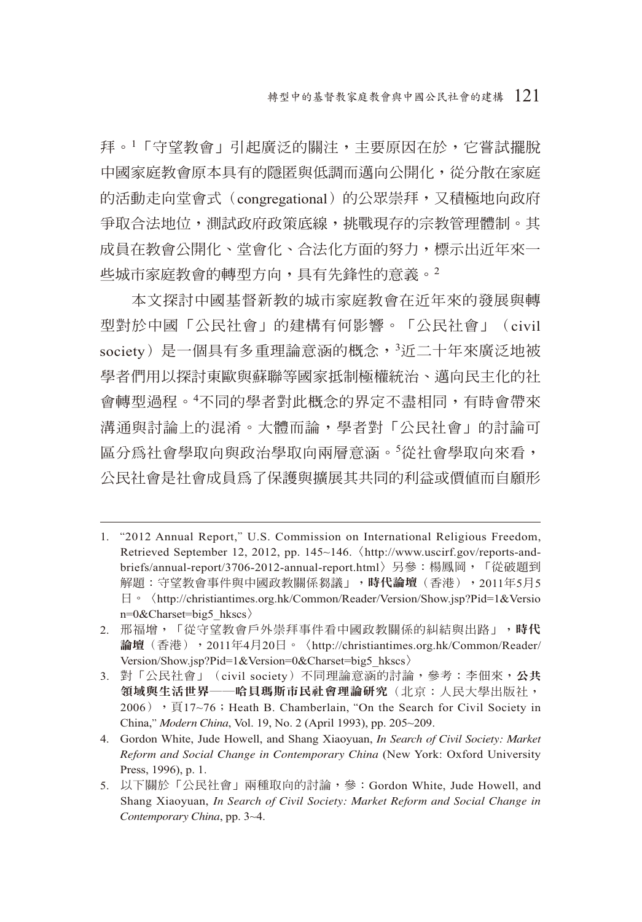拜。<sup>1</sup>「守望教會」引起廣泛的關注,主要原因在於,它嘗試擺脫 中國家庭教會原本具有的隱匿與低調而邁向公開化,從分散在家庭 的活動走向堂會式(congregational)的公眾崇拜,又積極地向政府 爭取合法地位,測試政府政策底線,挑戰現存的宗教管理體制。其 成員在教會公開化、堂會化、合法化方面的努力,標示出近年來一 些城市家庭教會的轉型方向,具有先鋒性的意義。<sup>2</sup>

本文探討中國基督新教的城市家庭教會在近年來的發展與轉 型對於中國「公民社會」的建構有何影響。「公民社會」(civil society) 是一個具有多重理論意涵的概念,<sup>3</sup>近二十年來廣泛地被 學者們用以探討東歐與蘇聯等國家抵制極權統治、邁向民主化的社 會轉型過程。<sup>4</sup> 不同的學者對此概念的界定不盡相同,有時會帶來 溝通與討論上的混淆。大體而論,學者對「公民社會」的討論可 區分為社會學取向與政治學取向兩層意涵。<sup>5</sup> 從社會學取向來看, 公民社會是社會成員為了保護與擴展其共同的利益或價值而自願形

- 1. "2012 Annual Report," U.S. Commission on International Religious Freedom, Retrieved September 12, 2012, pp. 145~146.〈http://www.uscirf.gov/reports-andbriefs/annual-report/3706-2012-annual-report.html〉另參:楊鳳岡,「從破題到 解題:守望教會事件與中國政教關係芻議」,時代論壇(香港),2011年5月5 日。〈http://christiantimes.org.hk/Common/Reader/Version/Show.jsp?Pid=1&Versio n=0&Charset=big5\_hkscs〉
- 2. 邢福增,「從守望教會戶外崇拜事件看中國政教關係的糾結與出路」,時代 論壇(香港),2011年4月20日。〈http://christiantimes.org.hk/Common/Reader/ Version/Show.jsp?Pid=1&Version=0&Charset=big5\_hkscs〉
- 3. 對「公民社會」(civil society)不同理論意涵的討論,參考:李佃來,公共 領域與生活世界——哈貝瑪斯市民社會理論研究(北京:人民大學出版社,  $2006)$ , 頁17~76; Heath B. Chamberlain, "On the Search for Civil Society in China," *Modern China*, Vol. 19, No. 2 (April 1993), pp. 205~209.

4. Gordon White, Jude Howell, and Shang Xiaoyuan, *In Search of Civil Society: Market Reform and Social Change in Contemporary China* (New York: Oxford University Press, 1996), p. 1.

<sup>5.</sup> 以下關於「公民社會」兩種取向的討論,參:Gordon White, Jude Howell, and Shang Xiaoyuan, *In Search of Civil Society: Market Reform and Social Change in Contemporary China*, pp. 3~4.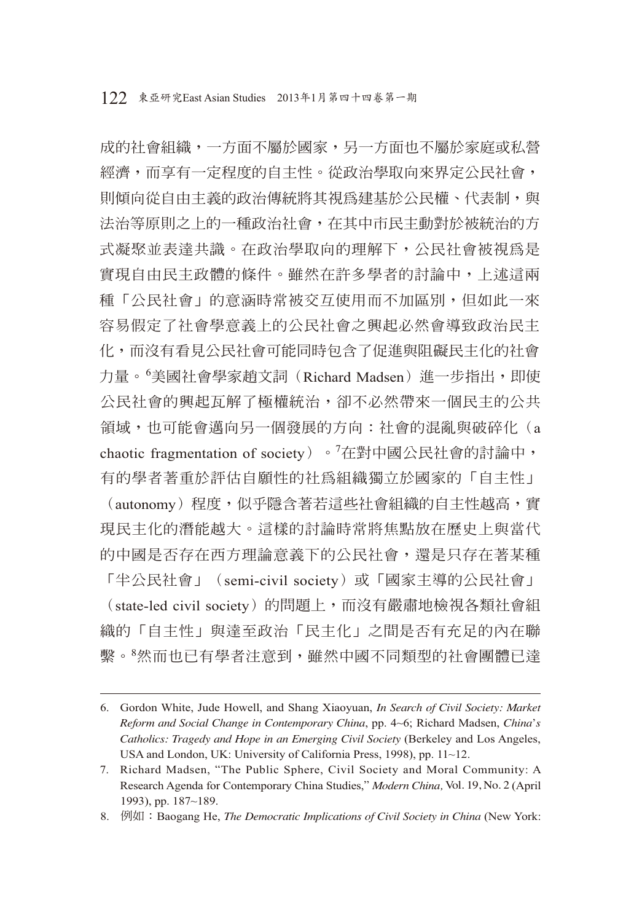成的社會組織,一方面不屬於國家,另一方面也不屬於家庭或私營 經濟,而享有一定程度的自主性。從政治學取向來界定公民社會, 則傾向從自由主義的政治傳統將其視為建基於公民權、代表制,與 法治等原則之上的一種政治社會,在其中市民主動對於被統治的方 式凝聚並表達共識。在政治學取向的理解下,公民社會被視為是 實現自由民主政體的條件。雖然在許多學者的討論中,上述這兩 種「公民社會」的意涵時常被交互使用而不加區別,但如此一來 容易假定了社會學意義上的公民社會之興起必然會導致政治民主 化,而沒有看見公民社會可能同時包含了促進與阻礙民主化的社會 力量。<sup>6</sup>美國社會學家趙文詞(Richard Madsen)進一步指出,即使 公民社會的興起瓦解了極權統治,卻不必然帶來一個民主的公共 領域,也可能會邁向另一個發展的方向:社會的混亂與破碎化(a chaotic fragmentation of society) 。<sup>7</sup>在對中國公民社會的討論中, 有的學者著重於評估自願性的社為組織獨立於國家的「自主性」 (autonomy)程度,似乎隱含著若這些社會組織的自主性越高,實 現民主化的潛能越大。這樣的討論時常將焦點放在歷史上與當代 的中國是否存在西方理論意義下的公民社會,還是只存在著某種 「半公民社會」 (semi-civil society) 或「國家主導的公民社會」 (state-led civil society)的問題上,而沒有嚴肅地檢視各類社會組 織的「自主性」與達至政治「民主化」之間是否有充足的內在聯 繫。<sup>8</sup>然而也已有學者注意到,雖然中國不同類型的社會團體已達

<sup>6.</sup> Gordon White, Jude Howell, and Shang Xiaoyuan, *In Search of Civil Society: Market Reform and Social Change in Contemporary China*, pp. 4~6; Richard Madsen, *China*'*s Catholics: Tragedy and Hope in an Emerging Civil Society* (Berkeley and Los Angeles, USA and London, UK: University of California Press, 1998), pp. 11~12.

<sup>7.</sup> Richard Madsen, "The Public Sphere, Civil Society and Moral Community: A Research Agenda for Contemporary China Studies," *Modern China,* Vol. 19, No. 2 (April 1993), pp. 187~189.

<sup>8.</sup> 例如:Baogang He, *The Democratic Implications of Civil Society in China* (New York: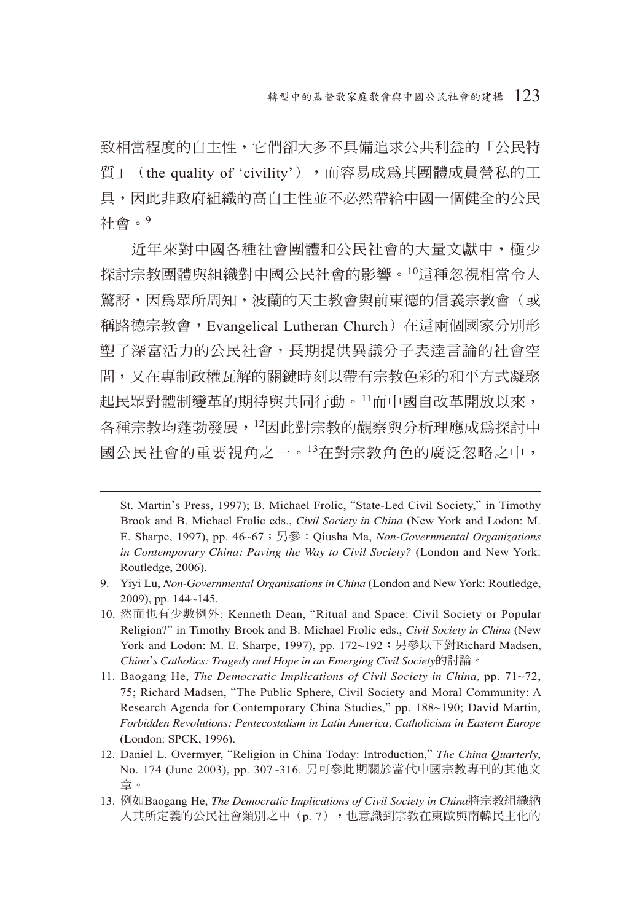致相當程度的自主性,它們卻大多不具備追求公共利益的「公民特 質」(the quality of 'civility'),而容易成為其團體成員營私的工 具,因此非政府組織的高自主性並不必然帶給中國一個健全的公民 社會。<sup>9</sup>

近年來對中國各種社會團體和公民社會的大量文獻中,極少 探討宗教團體與組織對中國公民社會的影響。10這種忽視相當令人 驚訝,因為眾所周知,波蘭的天主教會與前東德的信義宗教會(或 稱路德宗教會,Evangelical Lutheran Church)在這兩個國家分別形 塑了深富活力的公民社會,長期提供異議分子表達言論的社會空 間,又在專制政權瓦解的關鍵時刻以帶有宗教色彩的和平方式凝聚 起民眾對體制變革的期待與共同行動。11而中國自改革開放以來, 各種宗教均蓬勃發展,12因此對宗教的觀察與分析理應成為探討中 國公民社會的重要視角之一。13在對宗教角色的廣泛忽略之中,

St. Martin's Press, 1997); B. Michael Frolic, "State-Led Civil Society," in Timothy Brook and B. Michael Frolic eds., *Civil Society in China* (New York and Lodon: M. E. Sharpe, 1997), pp. 46~67;另參:Qiusha Ma, *Non-Governmental Organizations in Contemporary China: Paving the Way to Civil Society?* (London and New York: Routledge, 2006).

<sup>9.</sup> Yiyi Lu, *Non-Governmental Organisations in China* (London and New York: Routledge, 2009), pp. 144~145.

<sup>10.</sup> 然而也有少數例外: Kenneth Dean, "Ritual and Space: Civil Society or Popular Religion?" in Timothy Brook and B. Michael Frolic eds., *Civil Society in China* (New York and Lodon: M. E. Sharpe, 1997), pp. 172~192; 另參以下對Richard Madsen, *China*'*s Catholics: Tragedy and Hope in an Emerging Civil Society*的討論。

<sup>11.</sup> Baogang He, *The Democratic Implications of Civil Society in China,* pp. 71~72, 75; Richard Madsen, "The Public Sphere, Civil Society and Moral Community: A Research Agenda for Contemporary China Studies," pp. 188~190; David Martin, *Forbidden Revolutions: Pentecostalism in Latin America, Catholicism in Eastern Europe* (London: SPCK, 1996).

<sup>12.</sup> Daniel L. Overmyer, "Religion in China Today: Introduction," *The China Quarterly*, No. 174 (June 2003), pp. 307~316. 另可參此期關於當代中國宗教專刊的其他文 章。

<sup>13.</sup> 例如Baogang He, *The Democratic Implications of Civil Society in China*將宗教組織納 入其所定義的公民社會類別之中(p. 7),也意識到宗教在東歐與南韓民主化的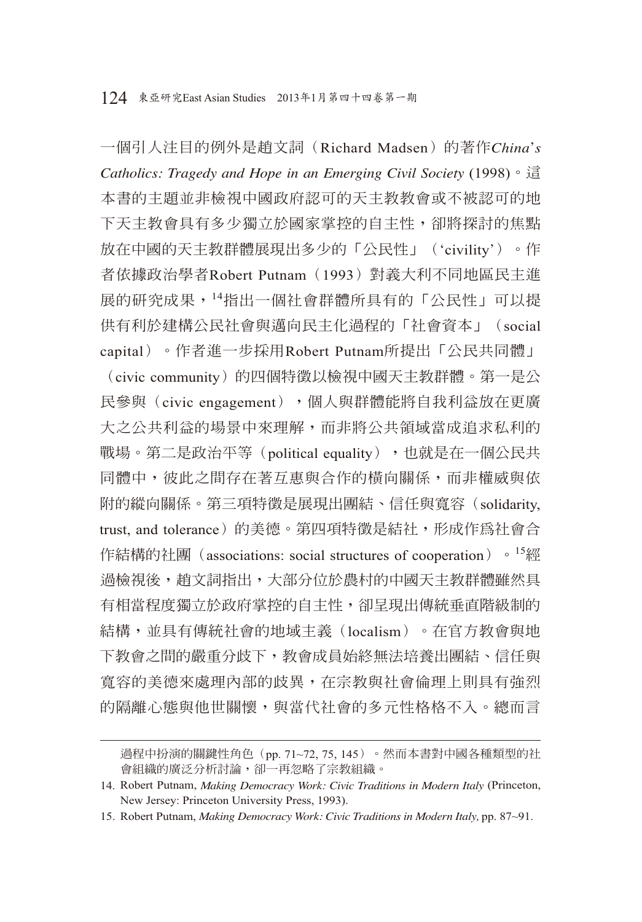一個引人注目的例外是趙文詞(Richard Madsen)的著作*China*'*s Catholics: Tragedy and Hope in an Emerging Civil Society* (1998)。這 本書的主題並非檢視中國政府認可的天主教教會或不被認可的地 下天主教會具有多少獨立於國家掌控的自主性,卻將探討的焦點 放在中國的天主教群體展現出多少的「公民性」('civility')。作 者依據政治學者Robert Putnam(1993)對義大利不同地區民主進 展的研究成果,14指出一個社會群體所具有的「公民性」可以提 供有利於建構公民社會與邁向民主化過程的「社會資本」(social capital)。作者進一步採用Robert Putnam所提出「公民共同體」

(civic community)的四個特徵以檢視中國天主教群體。第一是公 民參與(civic engagement),個人與群體能將自我利益放在更廣 大之公共利益的場景中來理解,而非將公共領域當成追求私利的 戰場。第二是政治平等(political equality),也就是在一個公民共 同體中,彼此之間存在著互惠與合作的橫向關係,而非權威與依 附的縱向關係。第三項特徵是展現出團結、信任與寬容(solidarity, trust, and tolerance)的美德。第四項特徵是結社, 形成作為社會合 作結構的社團 (associations: social structures of cooperation) 。<sup>15</sup>經 過檢視後,趙文詞指出,大部分位於農村的中國天主教群體雖然具 有相當程度獨立於政府掌控的自主性,卻呈現出傳統垂直階級制的 結構,並具有傳統社會的地域主義(localism)。在官方教會與地 下教會之間的嚴重分歧下,教會成員始終無法培養出團結、信任與 寬容的美德來處理內部的歧異,在宗教與社會倫理上則具有強烈 的隔離心態與他世關懷,與當代社會的多元性格格不入。總而言

過程中扮演的關鍵性角色(pp. 71~72, 75, 145)。然而本書對中國各種類型的社 會組織的廣泛分析討論,卻一再忽略了宗教組織。

<sup>14.</sup> Robert Putnam, *Making Democracy Work: Civic Traditions in Modern Italy* (Princeton, New Jersey: Princeton University Press, 1993).

<sup>15.</sup> Robert Putnam, *Making Democracy Work: Civic Traditions in Modern Italy,* pp. 87~91.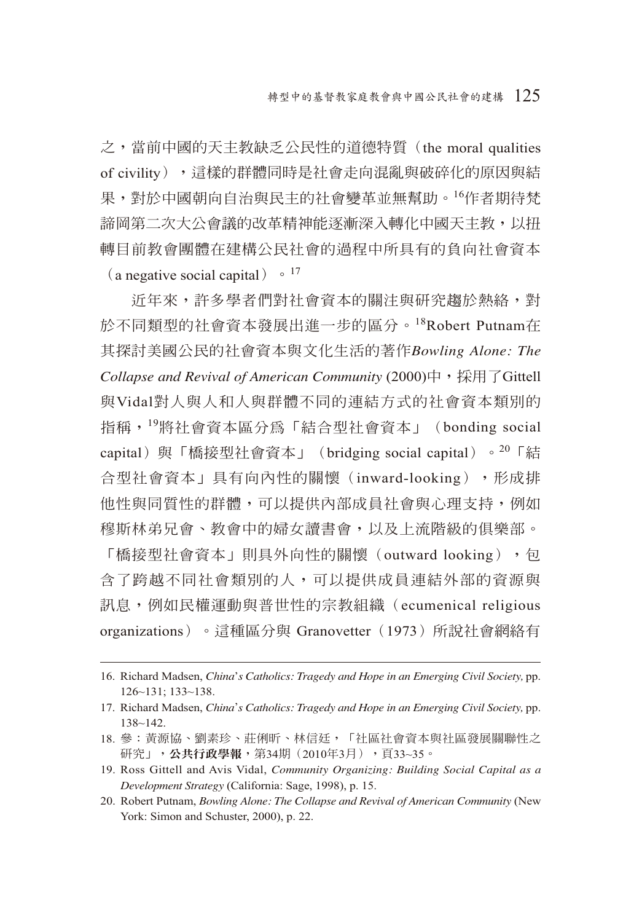之,當前中國的天主教缺乏公民性的道德特質(the moral qualities of civility),這樣的群體同時是社會走向混亂與破碎化的原因與結 果,對於中國朝向自治與民主的社會變革並無幫助。16作者期待梵 諦岡第二次大公會議的改革精神能逐漸深入轉化中國天主教,以扭 轉目前教會團體在建構公民社會的過程中所具有的負向社會資本 (a negative social capital)  $\cdot$  <sup>17</sup>

近年來,許多學者們對社會資本的關注與研究趨於熱絡,對 於不同類型的社會資本發展出進一步的區分。18Robert Putnam在 其探討美國公民的社會資本與文化生活的著作*Bowling Alone: The*  Collapse and Revival of American Community (2000)中, 採用了Gittell 與Vidal對人與人和人與群體不同的連結方式的社會資本類別的 指稱,19將社會資本區分為「結合型社會資本」(bonding social capital) 與「橋接型社會資本」 (bridging social capital) 。<sup>20</sup>「結 合型社會資本」具有向內性的關懷(inward-looking),形成排 他性與同質性的群體,可以提供內部成員社會與心理支持,例如 穆斯林弟兄會、教會中的婦女讀書會,以及上流階級的俱樂部。

「橋接型社會資本」則具外向性的關懷(outward looking),包 含了跨越不同社會類別的人,可以提供成員連結外部的資源與 訊息,例如民權運動與普世性的宗教組織(ecumenical religious organizations) 。這種區分與 Granovetter (1973) 所說社會網絡有

<sup>16.</sup> Richard Madsen, *China*'*s Catholics: Tragedy and Hope in an Emerging Civil Society,* pp. 126~131; 133~138.

<sup>17.</sup> Richard Madsen, *China*'*s Catholics: Tragedy and Hope in an Emerging Civil Society,* pp. 138~142.

<sup>18.</sup> 參:黃源協、劉素珍、莊俐昕、林信廷,「社區社會資本與社區發展關聯性之 研究」,公共行政學報,第34期(2010年3月),頁33~35。

<sup>19.</sup> Ross Gittell and Avis Vidal, *Community Organizing: Building Social Capital as a Development Strategy* (California: Sage, 1998), p. 15.

<sup>20.</sup> Robert Putnam, *Bowling Alone: The Collapse and Revival of American Community* (New York: Simon and Schuster, 2000), p. 22.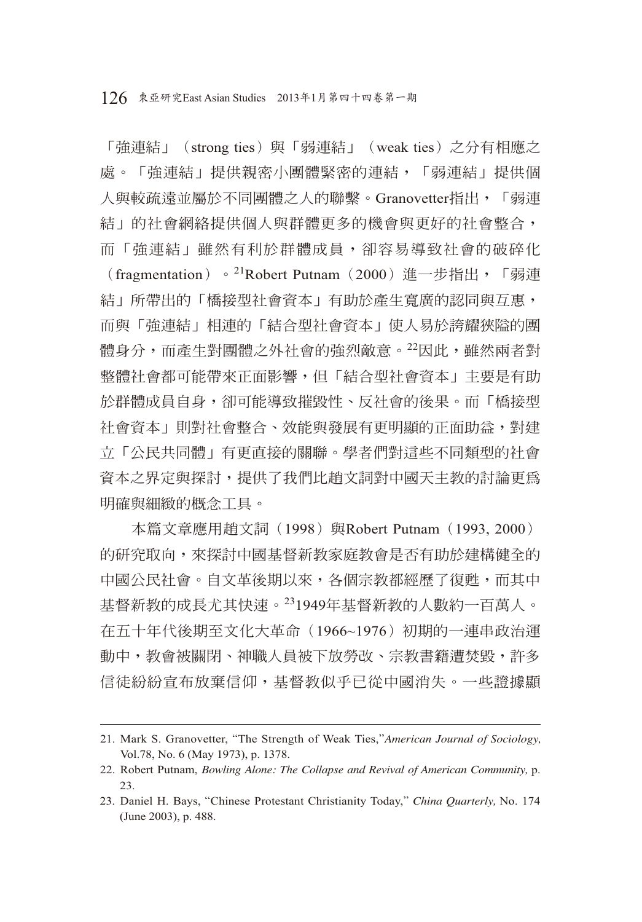126 東亞研究East Asian Studies 2013年1月第四十四卷第一期

「強連結」(strong ties)與「弱連結」(weak ties)之分有相應之 處。「強連結」提供親密小團體緊密的連結,「弱連結」提供個 人與較疏遠並屬於不同團體之人的聯繫。Granovetter指出,「弱連 結」的社會網絡提供個人與群體更多的機會與更好的社會整合, 而「強連結」雖然有利於群體成員,卻容易導致社會的破碎化

(fragmentation)。<sup>21</sup>Robert Putnam (2000)進一步指出,「弱連 結」所帶出的「橋接型社會資本」有助於產生寬廣的認同與互惠, 而與「強連結」相連的「結合型社會資本」使人易於誇耀狹隘的團 體身分,而產生對團體之外社會的強烈敵意。22因此,雖然兩者對 整體社會都可能帶來正面影響,但「結合型社會資本」主要是有助 於群體成員自身,卻可能導致摧毀性、反社會的後果。而「橋接型 社會資本」則對社會整合、效能與發展有更明顯的正面助益,對建 立「公民共同體」有更直接的關聯。學者們對這些不同類型的社會 資本之界定與探討,提供了我們比趙文詞對中國天主教的討論更為 明確與細緻的概念工具。

本篇文章應用趙文詞 (1998) 與Robert Putnam (1993, 2000) 的研究取向,來探討中國基督新教家庭教會是否有助於建構健全的 中國公民社會。自文革後期以來,各個宗教都經歷了復甦,而其中 基督新教的成長尤其快速。231949年基督新教的人數約一百萬人。 在五十年代後期至文化大革命(1966~1976)初期的一連串政治運 動中,教會被關閉、神職人員被下放勞改、宗教書籍遭焚毀,許多 信徒紛紛宣布放棄信仰,基督教似乎已從中國消失。一些證據顯

<sup>21.</sup> Mark S. Granovetter, "The Strength of Weak Ties,"*American Journal of Sociology,* Vol.78, No. 6 (May 1973), p. 1378.

<sup>22.</sup> Robert Putnam, *Bowling Alone: The Collapse and Revival of American Community,* p. 23.

<sup>23.</sup> Daniel H. Bays, "Chinese Protestant Christianity Today," *China Quarterly,* No. 174 (June 2003), p. 488.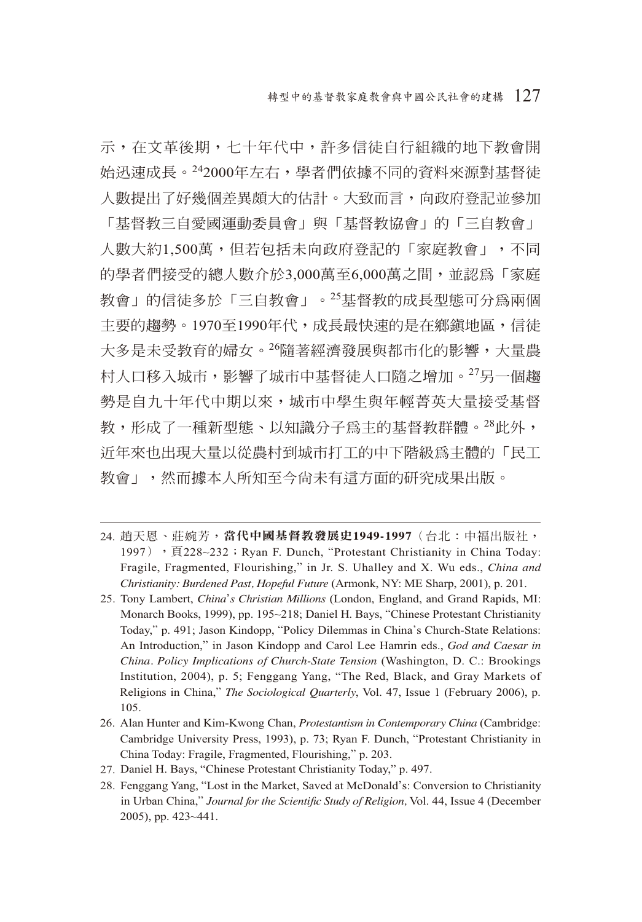示,在文革後期,七十年代中,許多信徒自行組織的地下教會開 始迅速成長。242000年左右,學者們依據不同的資料來源對基督徒 人數提出了好幾個差異頗大的估計。大致而言,向政府登記並參加

「基督教三自愛國運動委員會」與「基督教協會」的「三自教會」 人數大約1,500萬,但若包括未向政府登記的「家庭教會」,不同 的學者們接受的總人數介於3,000萬至6,000萬之間,並認為「家庭 教會」的信徒多於「三自教會」。25基督教的成長型態可分為兩個 主要的趨勢。1970至1990年代,成長最快速的是在鄉鎮地區,信徒 大多是未受教育的婦女。26隨著經濟發展與都市化的影響,大量農 村人口移入城市,影響了城市中基督徒人口隨之增加。27另一個趨 勢是自九十年代中期以來,城市中學生與年輕菁英大量接受基督 教,形成了一種新型態、以知識分子為主的基督教群體。28此外, 近年來也出現大量以從農村到城市打工的中下階級為主體的「民工 教會」,然而據本人所知至今尚未有這方面的研究成果出版。

- 24. 趙天恩、莊婉芳,當代中國基督教發展史1949-1997(台北:中福出版社, 1997), 「頁228~232; Ryan F. Dunch, "Protestant Christianity in China Today: Fragile, Fragmented, Flourishing," in Jr. S. Uhalley and X. Wu eds., *China and Christianity: Burdened Past, Hopeful Future* (Armonk, NY: ME Sharp, 2001), p. 201.
- 25. Tony Lambert, *China*'*s Christian Millions* (London, England, and Grand Rapids, MI: Monarch Books, 1999), pp. 195~218; Daniel H. Bays, "Chinese Protestant Christianity Today," p. 491; Jason Kindopp, "Policy Dilemmas in China's Church-State Relations: An Introduction," in Jason Kindopp and Carol Lee Hamrin eds., *God and Caesar in China. Policy Implications of Church-State Tension* (Washington, D. C.: Brookings Institution, 2004), p. 5; Fenggang Yang, "The Red, Black, and Gray Markets of Religions in China," *The Sociological Quarterly*, Vol. 47, Issue 1 (February 2006), p. 105.
- 26. Alan Hunter and Kim-Kwong Chan, *Protestantism in Contemporary China* (Cambridge: Cambridge University Press, 1993), p. 73; Ryan F. Dunch, "Protestant Christianity in China Today: Fragile, Fragmented, Flourishing," p. 203.
- 27. Daniel H. Bays, "Chinese Protestant Christianity Today," p. 497.
- 28. Fenggang Yang, "Lost in the Market, Saved at McDonald's: Conversion to Christianity in Urban China," Journal for the Scientific Study of Religion, Vol. 44, Issue 4 (December 2005), pp. 423~441.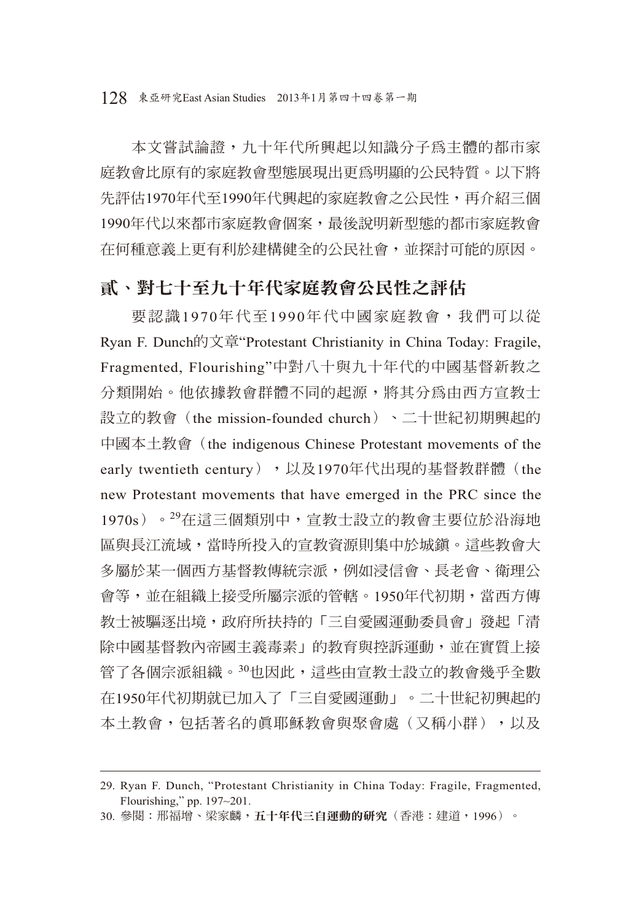本文嘗試論證,九十年代所興起以知識分子為主體的都市家 庭教會比原有的家庭教會型態展現出更為明顯的公民特質。以下將 先評估1970年代至1990年代興起的家庭教會之公民性,再介紹三個 1990年代以來都市家庭教會個案,最後說明新型態的都市家庭教會 在何種意義上更有利於建構健全的公民社會,並探討可能的原因。

## 貳、對七十至九十年代家庭教會公民性之評估

要認識1970年代至1990年代中國家庭教會,我們可以從 Ryan F. Dunch的文章"Protestant Christianity in China Today: Fragile, Fragmented, Flourishing"中對八十與九十年代的中國基督新教之 分類開始。他依據教會群體不同的起源,將其分為由西方宣教士 設立的教會(the mission-founded church)、二十世紀初期興起的 中國本土教會(the indigenous Chinese Protestant movements of the early twentieth century), 以及1970年代出現的基督教群體(the new Protestant movements that have emerged in the PRC since the 1970s)。<sup>29</sup>在這三個類別中,宣教士設立的教會主要位於沿海地 區與長江流域,當時所投入的宣教資源則集中於城鎮。這些教會大 多屬於某一個西方基督教傳統宗派,例如浸信會、長老會、衛理公 會等,並在組織上接受所屬宗派的管轄。1950年代初期,當西方傳 教士被驅逐出境,政府所扶持的「三自愛國運動委員會」發起「清 除中國基督教內帝國主義毒素」的教育與控訴運動,並在實質上接 管了各個宗派組織。30也因此,這些由宣教士設立的教會幾乎全數 在1950年代初期就已加入了「三自愛國運動」。二十世紀初興起的 本土教會,包括著名的真耶穌教會與聚會處(又稱小群),以及

<sup>29.</sup> Ryan F. Dunch, "Protestant Christianity in China Today: Fragile, Fragmented, Flourishing," pp. 197~201.

<sup>30.</sup> 參閱: 邢福增、梁家麟,五十年代三自運動的研究(香港:建道,1996)。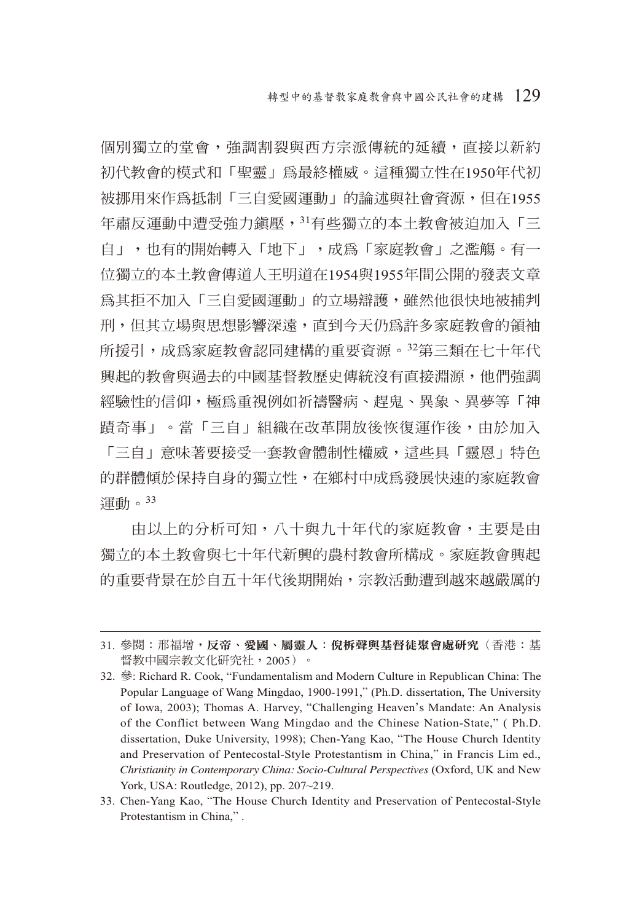個別獨立的堂會,強調割裂與西方宗派傳統的延續,直接以新約 初代教會的模式和「聖靈」為最終權威。這種獨立性在1950年代初 被挪用來作為抵制「三自愛國運動」的論述與社會資源,但在1955 年肅反運動中遭受強力鎮壓,31有些獨立的本土教會被迫加入「三 自」,也有的開始轉入「地下」,成為「家庭教會」之濫觴。有一 位獨立的本土教會傳道人王明道在1954與1955年間公開的發表文章 為其拒不加入「三自愛國運動」的立場辯護,雖然他很快地被捕判 刑,但其立場與思想影響深遠,直到今天仍為許多家庭教會的領袖 所援引,成為家庭教會認同建構的重要資源。32第三類在七十年代 興起的教會與過去的中國基督教歷史傳統沒有直接淵源,他們強調 經驗性的信仰,極為重視例如祈禱醫病、趕鬼、異象、異夢等「神 蹟奇事」。當「三自」組織在改革開放後恢復運作後,由於加入 「三自」意味著要接受一套教會體制性權威,這些具「靈恩」特色 的群體傾於保持自身的獨立性,在鄉村中成為發展快速的家庭教會 運動。<sup>33</sup>

由以上的分析可知,八十與九十年代的家庭教會,主要是由 獨立的本土教會與七十年代新興的農村教會所構成。家庭教會興起 的重要背景在於自五十年代後期開始,宗教活動遭到越來越嚴厲的

<sup>31.</sup> 參閱: 邢福增,反帝、愛國、屬靈人:倪柝聲與基督徒聚會處研究(香港:基 督教中國宗教文化研究社,2005)。

<sup>32.</sup> 參: Richard R. Cook, "Fundamentalism and Modern Culture in Republican China: The Popular Language of Wang Mingdao, 1900-1991," (Ph.D. dissertation, The University of Iowa, 2003); Thomas A. Harvey, "Challenging Heaven's Mandate: An Analysis of the Conflict between Wang Mingdao and the Chinese Nation-State," ( Ph.D. dissertation, Duke University, 1998); Chen-Yang Kao, "The House Church Identity and Preservation of Pentecostal-Style Protestantism in China," in Francis Lim ed., *Christianity in Contemporary China: Socio-Cultural Perspectives* (Oxford, UK and New York, USA: Routledge, 2012), pp. 207~219.

<sup>33.</sup> Chen-Yang Kao, "The House Church Identity and Preservation of Pentecostal-Style Protestantism in China," .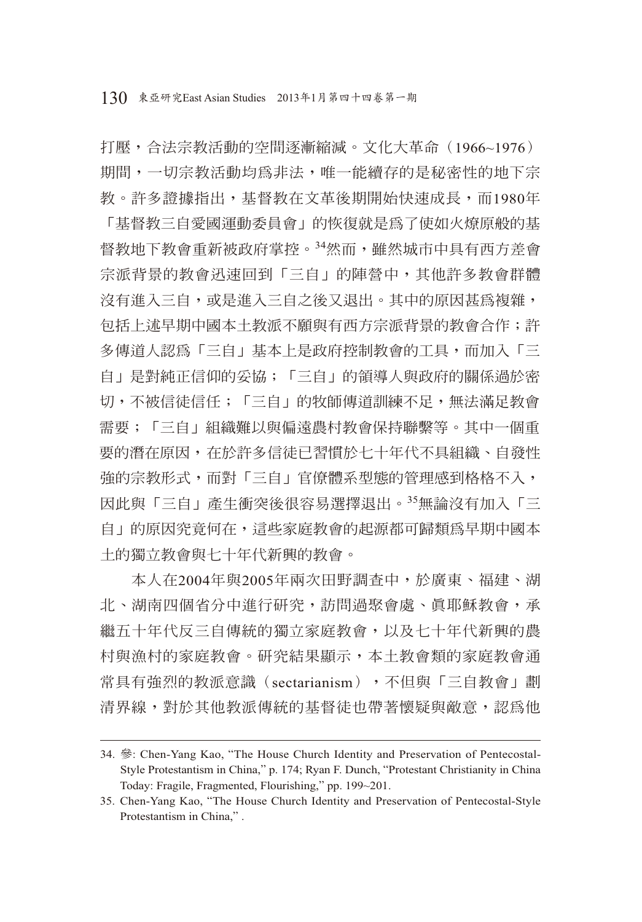打壓,合法宗教活動的空間逐漸縮減。文化大革命(1966~1976) 期間,一切宗教活動均為非法,唯一能續存的是秘密性的地下宗 教。許多證據指出,基督教在文革後期開始快速成長,而1980年 「基督教三自愛國運動委員會」的恢復就是為了使如火燎原般的基 督教地下教會重新被政府掌控。34然而,雖然城市中具有西方差會 宗派背景的教會迅速回到「三自」的陣營中,其他許多教會群體 沒有進入三自,或是進入三自之後又退出。其中的原因甚為複雜, 包括上述早期中國本土教派不願與有西方宗派背景的教會合作;許 多傳道人認為「三自」基本上是政府控制教會的工具,而加入「三 自」是對純正信仰的妥協;「三自」的領導人與政府的關係過於密 切,不被信徒信任;「三自」的牧師傳道訓練不足,無法滿足教會 需要;「三自」組織難以與偏遠農村教會保持聯繫等。其中一個重 要的潛在原因,在於許多信徒已習慣於七十年代不具組織、自發性 強的宗教形式,而對「三自」官僚體系型態的管理感到格格不入, 因此與「三自」產生衝突後很容易選擇退出。35無論沒有加入「三 自」的原因究竟何在,這些家庭教會的起源都可歸類為早期中國本 土的獨立教會與七十年代新興的教會。

本人在2004年與2005年兩次田野調查中,於廣東、福建、湖 北、湖南四個省分中進行研究,訪問過聚會處、真耶穌教會,承 繼五十年代反三自傳統的獨立家庭教會,以及七十年代新興的農 村與漁村的家庭教會。研究結果顯示,本土教會類的家庭教會通 常具有強烈的教派意識(sectarianism),不但與「三自教會」劃 清界線,對於其他教派傳統的基督徒也帶著懷疑與敵意,認為他

<sup>34.</sup> 參: Chen-Yang Kao, "The House Church Identity and Preservation of Pentecostal-Style Protestantism in China," p. 174; Ryan F. Dunch, "Protestant Christianity in China Today: Fragile, Fragmented, Flourishing," pp. 199~201.

<sup>35.</sup> Chen-Yang Kao, "The House Church Identity and Preservation of Pentecostal-Style Protestantism in China," .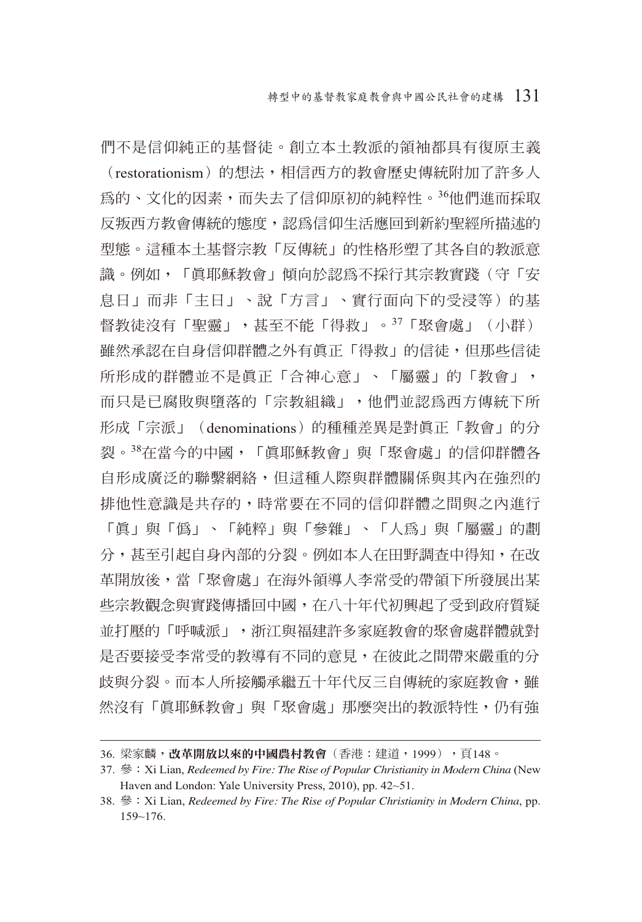們不是信仰純正的基督徒。創立本土教派的領袖都具有復原主義 (restorationism)的想法,相信西方的教會歷史傳統附加了許多人 為的、文化的因素,而失去了信仰原初的純粹性。36他們進而採取 反叛西方教會傳統的態度,認為信仰生活應回到新約聖經所描述的 型態。這種本土基督宗教「反傳統」的性格形塑了其各自的教派意 識。例如,「 直耶穌教會」傾向於認為不採行其宗教實踐(守「安 息日」而非「主日」、說「方言」、實行面向下的受浸等)的基 督教徒沒有「聖靈」,甚至不能「得救」。37「聚會處」(小群) 雖然承認在自身信仰群體之外有真正「得救」的信徒,但那些信徒 所形成的群體並不是眞正「合神心意」、「屬靈」的「教會」, 而只是已腐敗與墮落的「宗教組織」,他們並認為西方傳統下所 形成「宗派」(denominations)的種種差異是對真正「教會」的分 裂。38在當今的中國,「直耶穌教會」與「聚會處」的信仰群體各 自形成廣泛的聯繫網絡,但這種人際與群體關係與其內在強烈的 排他性意識是共存的,時常要在不同的信仰群體之間與之內進行 「真」與「偽」、「純粹」與「參雜」、「人為」與「屬靈」的劃 分,甚至引起自身內部的分裂。例如本人在田野調杳中得知,在改 革開放後,當「聚會處」在海外領導人李常受的帶領下所發展出某 些宗教觀念與實踐傳播回中國,在八十年代初興起了受到政府質疑 並打壓的「呼喊派」,浙江與福建許多家庭教會的聚會處群體就對 是否要接受李常受的教導有不同的意見,在彼此之間帶來嚴重的分 歧與分裂。而本人所接觸承繼五十年代反三自傳統的家庭教會,雖 然沒有「真耶穌教會」與「聚會處」那麼突出的教派特性,仍有強

<sup>36.</sup> 梁家麟,改革開放以來的中國農村教會(香港:建道,1999),百148。

<sup>37.</sup> 參:Xi Lian, *Redeemed by Fire: The Rise of Popular Christianity in Modern China* (New Haven and London: Yale University Press, 2010), pp. 42~51.

<sup>38.</sup> 參:Xi Lian, *Redeemed by Fire: The Rise of Popular Christianity in Modern China*, pp. 159~176.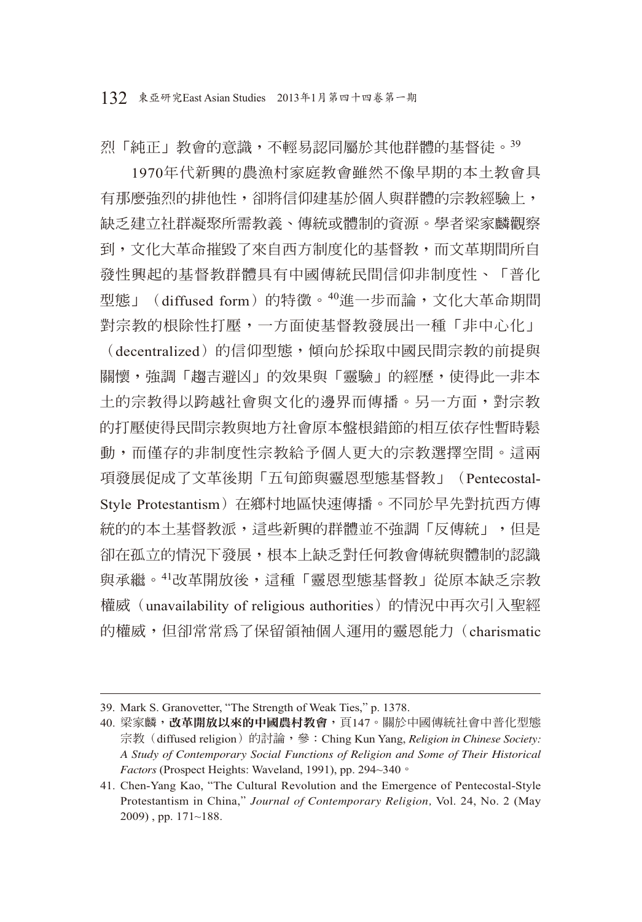烈「純正」教會的意識,不輕易認同屬於其他群體的基督徒。<sup>39</sup>

1970年代新興的農漁村家庭教會雖然不像早期的本土教會具 有那麼強烈的排他性,卻將信仰建基於個人與群體的宗教經驗上, 缺乏建立社群凝聚所需教義、傳統或體制的資源。學者梁家麟觀察 到,文化大革命摧毀了來自西方制度化的基督教,而文革期間所自 發性興起的基督教群體具有中國傳統民間信仰非制度性、「普化 型態」(diffused form)的特徵。40進一步而論,文化大革命期間 對宗教的根除性打壓,一方面使基督教發展出一種「非中心化」 (decentralized)的信仰型態,傾向於採取中國民間宗教的前提與 關懷,強調「趨吉澼凶」的效果與「靈驗」的經歷,使得此一非本 土的宗教得以跨越社會與文化的邊界而傳播。另一方面,對宗教 的打壓使得民間宗教與地方社會原本盤根錯節的相互依存性暫時鬆 動,而僅存的非制度性宗教給予個人更大的宗教選擇空間。這兩 項發展促成了文革後期「五旬節與靈恩型態基督教」(Pentecostal-Style Protestantism)在鄉村地區快速傳播。不同於早先對抗西方傳 統的的本土基督教派,這些新興的群體並不強調「反傳統」,但是 卻在孤立的情況下發展,根本上缺乏對任何教會傳統與體制的認識 與承繼。<sup>41</sup>改革開放後,這種「靈恩型態基督教」從原本缺乏宗教 權威(unavailability of religious authorities)的情況中再次引入聖經

的權威,但卻常常為了保留領袖個人運用的靈恩能力(charismatic

<sup>39.</sup> Mark S. Granovetter, "The Strength of Weak Ties," p. 1378.

<sup>40.</sup> 梁家麟,改革開放以來的中國農村教會,頁147。關於中國傳統社會中普化型態 宗教 (diffused religion) 的討論, 參: Ching Kun Yang, *Religion in Chinese Society: A Study of Contemporary Social Functions of Religion and Some of Their Historical Factors* (Prospect Heights: Waveland, 1991), pp. 294~340。

<sup>41.</sup> Chen-Yang Kao, "The Cultural Revolution and the Emergence of Pentecostal-Style Protestantism in China," *Journal of Contemporary Religion,* Vol. 24, No. 2 (May 2009) , pp. 171~188.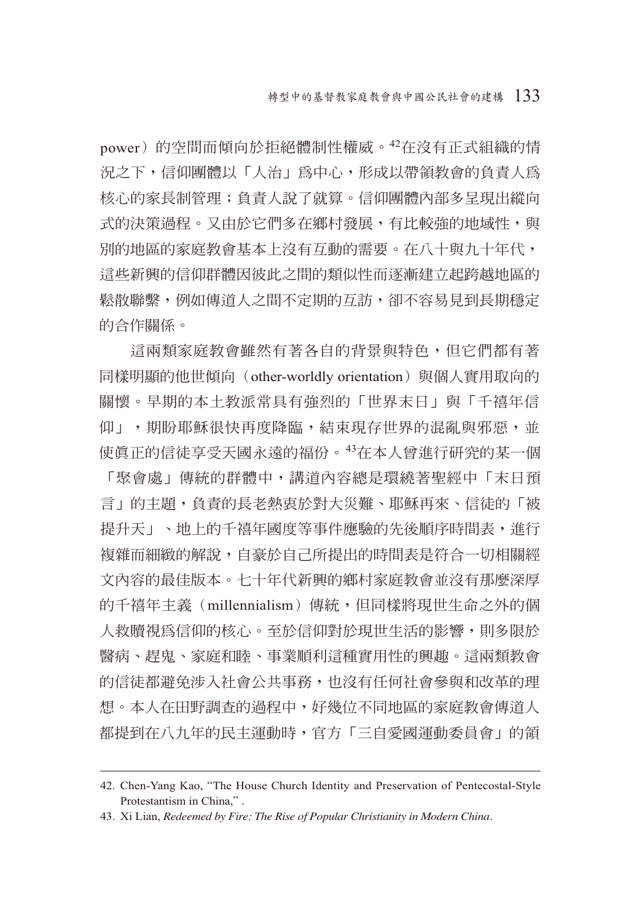power)的空間而傾向於拒絕體制性權威。42在沒有正式組織的情 況之下,信仰團體以「人治」為中心,形成以帶領教會的負責人為 核心的家長制管理;負責人說了就算。信仰團體內部多呈現出縱向 式的決策過程。又由於它們多在鄉村發展,有比較強的地域性,與 別的地區的家庭教會基本上沒有互動的需要。在八十與九十年代, 這些新興的信仰群體因彼此之間的類似性而逐漸建立起跨越地區的 鬆散聯繫,例如傳道人之間不定期的互訪,卻不容易見到長期穩定 的合作關係。

這兩類家庭教會雖然有著各自的背景與特色,但它們都有著 同樣明顯的他世傾向(other-worldly orientation)與個人實用取向的 關懷。早期的本土教派常具有強烈的「世界末日」與「千禧年信 仰」,期盼耶穌很快再度降臨,結束現存世界的混亂與邪惡,並 使真正的信徒享受天國永遠的福份。43在本人曾進行研究的某一個 「聚會處」傳統的群體中,講道內容總是環繞著聖經中「末日預 言」的主題,負責的長老熱衷於對大災難、耶穌再來、信徒的「被 提升天」、地上的千禧年國度等事件應驗的先後順序時間表, 淮行 複雜而細緻的解說,自豪於自己所提出的時間表是符合一切相關經 文內容的最佳版本。七十年代新興的鄉村家庭教會並沒有那麼深厚 的千禧年主義(millennialism)傳統,但同樣將現世生命之外的個 人救贖視為信仰的核心。至於信仰對於現世生活的影響,則多限於 醫病、趕鬼、家庭和睦、事業順利這種實用性的興趣。這兩類教會 的信徒都避免涉入社會公共事務,也沒有任何社會參與和改革的理 想。本人在田野調查的過程中,好幾位不同地區的家庭教會傳道人 都提到在八九年的民主運動時,官方「三自愛國運動委員會」的領

<sup>42.</sup> Chen-Yang Kao, "The House Church Identity and Preservation of Pentecostal-Style Protestantism in China," .

<sup>43.</sup> Xi Lian, *Redeemed by Fire: The Rise of Popular Christianity in Modern China.*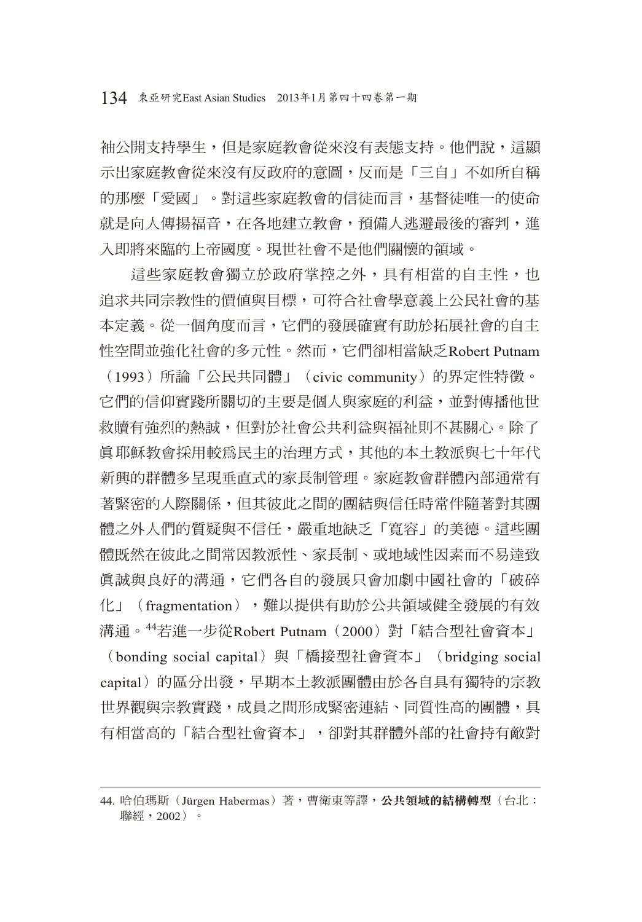袖公開支持學生,但是家庭教會從來沒有表態支持。他們說,這顯 示出家庭教會從來沒有反政府的意圖,反而是「三自」不如所自稱 的那麼「愛國」。對這些家庭教會的信徒而言,基督徒唯一的使命 就是向人傳揚福音,在各地建立教會,預備人逃避最後的審判,進 入即將來臨的上帝國度。現世社會不是他們關懷的領域。

這些家庭教會獨立於政府掌控之外,具有相當的自主性,也 追求共同宗教性的價值與目標,可符合社會學意義上公民社會的基 本定義。從一個角度而言,它們的發展確實有助於拓展社會的自主 性空間並強化社會的多元性。然而,它們卻相當缺乏Robert Putnam (1993)所論「公民共同體」(civic community)的界定性特徵。 它們的信仰實踐所關切的主要是個人與家庭的利益,並對傳播他世 救贖有強烈的熱誠,但對於社會公共利益與福祉則不甚關心。除了 真耶穌教會採用較為民主的治理方式,其他的本土教派與七十年代 新興的群體多呈現垂直式的家長制管理。家庭教會群體內部通常有 著緊密的人際關係,但其彼此之間的團結與信任時常伴隨著對其團 體之外人們的質疑與不信任,嚴重地缺乏「寬容」的美德。這些團 體既然在彼此之間常因教派性、家長制、或地域性因素而不易達致 真誠與良好的溝通,它們各自的發展只會加劇中國社會的「破碎 化」(fragmentation), 難以提供有助於公共領域健全發展的有效 溝通。44若進一步從Robert Putnam (2000)對「結合型社會資本」

(bonding social capital) 與「橋接型社會資本」 (bridging social capital)的區分出發,早期本土教派團體由於各自具有獨特的宗教 世界觀與宗教實踐,成員之間形成緊密連結、同質性高的團體,具 有相當高的「結合型社會資本」,卻對其群體外部的社會持有敵對

<sup>44.</sup> 哈伯瑪斯(Jürgen Habermas)著,曹衛東等譯,公共領域的結構轉型(台北: 聯經,2002)。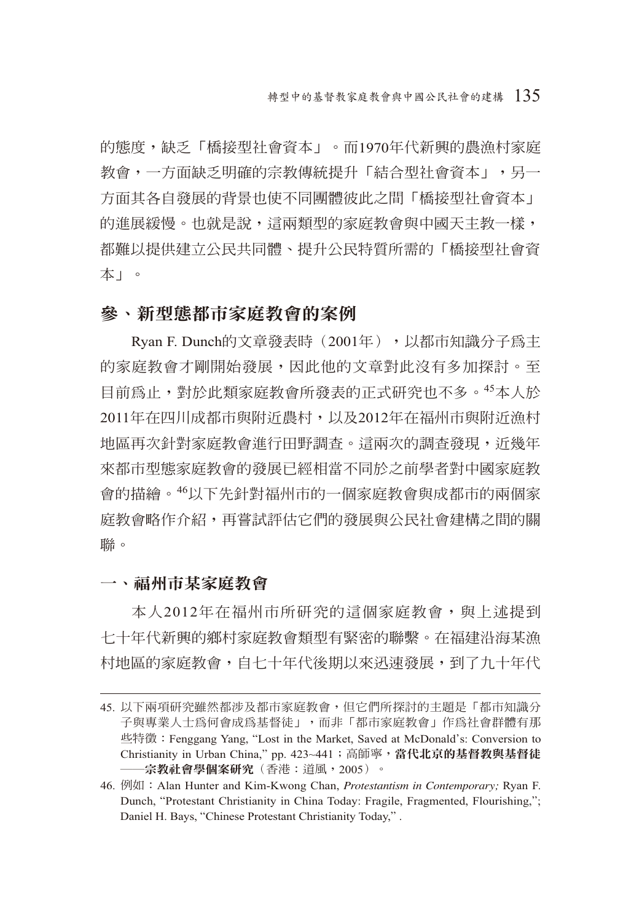的態度,缺乏「橋接型社會資本」。而1970年代新興的農漁村家庭 教會,一方面缺乏明確的宗教傳統提升「結合型社會資本」,另一 方面其各自發展的背景也使不同團體彼此之間「橋接型社會資本」 的進展緩慢。也就是說,這兩類型的家庭教會與中國天主教一樣, 都難以提供建立公民共同體、提升公民特質所需的「橋接型社會資 本」。

## 參、新型態都市家庭教會的案例

Rvan F. Dunch的文章發表時(2001年), 以都市知識分子為主 的家庭教會才剛開始發展,因此他的文章對此沒有多加探討。至 目前為止,對於此類家庭教會所發表的正式研究也不多。45本人於 2011年在四川成都市與附近農村,以及2012年在福州市與附近漁村 地區再次針對家庭教會進行田野調查。這兩次的調查發現,近幾年 來都市型態家庭教會的發展已經相當不同於之前學者對中國家庭教 會的描繪。46以下先針對福州市的一個家庭教會與成都市的兩個家 庭教會略作介紹,再嘗試評估它們的發展與公民社會建構之間的關 聯。

一、福州市某家庭教會

本人2012年在福州市所研究的這個家庭教會,與上述提到 七十年代新興的鄉村家庭教會類型有緊密的聯繫。在福建沿海某漁 村地區的家庭教會,自七十年代後期以來迅速發展,到了九十年代

<sup>45.</sup> 以下兩項研究雖然都涉及都市家庭教會,但它們所探討的主題是「都市知識分 子與專業人士為何會成為基督徒」,而非「都市家庭教會」作為社會群體有那 些特徵:Fenggang Yang, "Lost in the Market, Saved at McDonald's: Conversion to Christianity in Urban China," pp. 423~441; 高師寧,當代北京的基督教與基督徒 ──宗教社會學個案研究(香港:道風,2005)。

<sup>46.</sup> 例如:Alan Hunter and Kim-Kwong Chan, *Protestantism in Contemporary;* Ryan F. Dunch, "Protestant Christianity in China Today: Fragile, Fragmented, Flourishing,"; Daniel H. Bays, "Chinese Protestant Christianity Today," .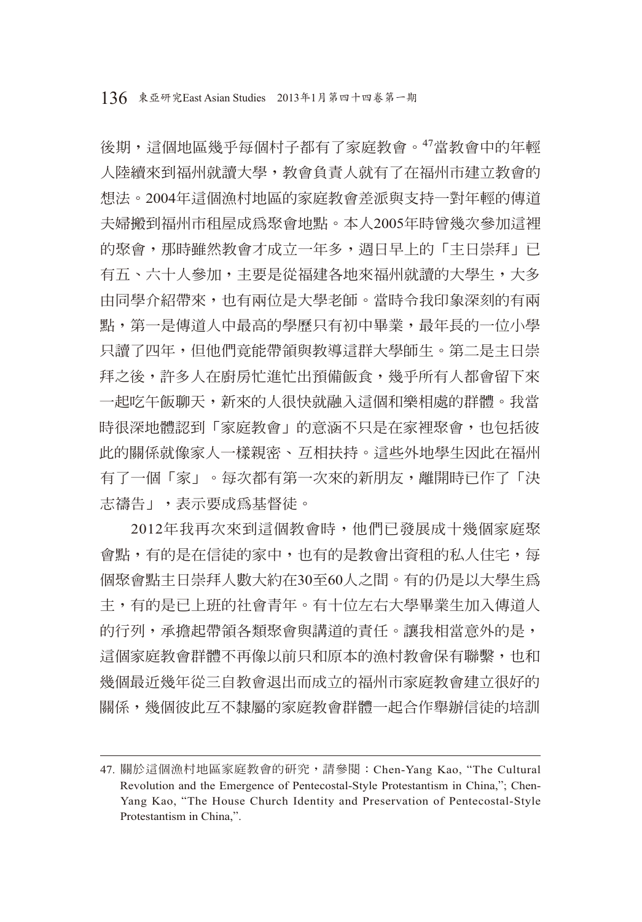後期,這個地區幾乎每個村子都有了家庭教會。47當教會中的年輕 人陸續來到福州就讀大學,教會負責人就有了在福州市建立教會的 想法。2004年這個漁村地區的家庭教會差派與支持一對年輕的傳道 夫婦搬到福州市租屋成為聚會地點。本人2005年時曾幾次參加這裡 的聚會,那時雖然教會才成立一年多, 週日早上的「主日崇拜」已 有五、六十人參加,主要是從福建各地來福州就讀的大學生,大多 由同學介紹帶來,也有兩位是大學老師。當時令我印象深刻的有兩 點,第一是傳道人中最高的學歷只有初中畢業,最年長的一位小學 只讀了四年,但他們竟能帶領與教導這群大學師生。第二是主日崇 拜之後,許多人在廚房忙進忙出預備飯食,幾乎所有人都會留下來 一起吃午飯聊天,新來的人很快就融入這個和樂相處的群體。我當 時很深地體認到「家庭教會」的意涵不只是在家裡聚會,也包括彼 此的關係就像家人一樣親密、互相扶持。這些外地學生因此在福州 有了一個「家」。每次都有第一次來的新朋友,離開時已作了「決 志禱告」,表示要成為基督徒。

2012年我再次來到這個教會時,他們已發展成十幾個家庭聚 會點,有的是在信徒的家中,也有的是教會出資租的私人住宅,每 個聚會點主日崇拜人數大約在30至60人之間。有的仍是以大學生為 主,有的是已上班的社會青年。有十位左右大學畢業生加入傳道人 的行列,承擔起帶領各類聚會與講道的責任。讓我相當意外的是, 這個家庭教會群體不再像以前只和原本的漁村教會保有聯繫,也和 幾個最近幾年從三自教會退出而成立的福州市家庭教會建立很好的 關係,幾個彼此互不隸屬的家庭教會群體一起合作舉辦信徒的培訓

<sup>47.</sup> 關於這個漁村地區家庭教會的研究,請參閱:Chen-Yang Kao, "The Cultural Revolution and the Emergence of Pentecostal-Style Protestantism in China,"; Chen-Yang Kao, "The House Church Identity and Preservation of Pentecostal-Style Protestantism in China,".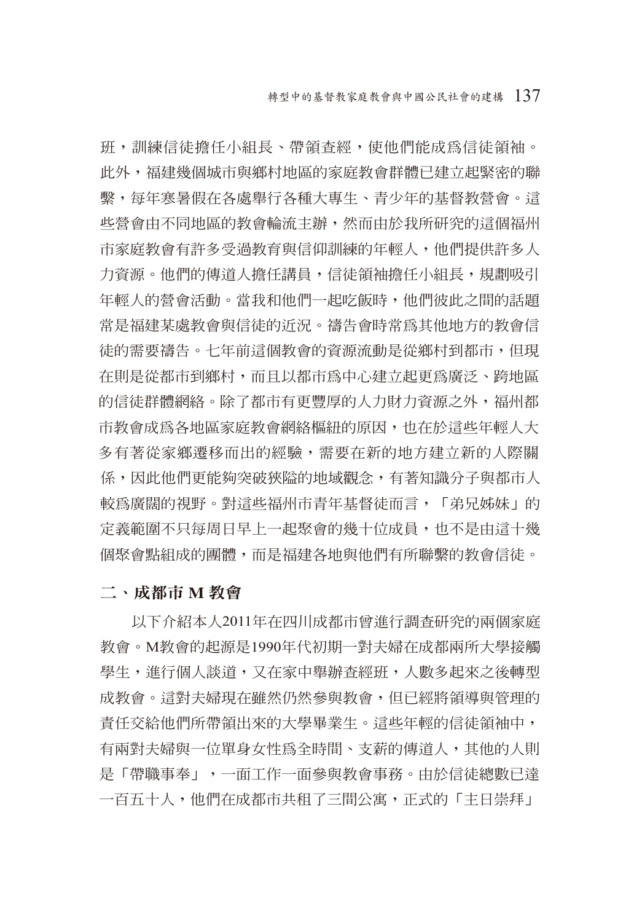班,訓練信徒擔任小組長、帶領查經,使他們能成為信徒領袖。 此外,福建幾個城市與鄉村地區的家庭教會群體已建立起緊密的聯 繫,每年寒暑假在各處舉行各種大專生、青少年的基督教營會。這 些營會由不同地區的教會輪流主辦,然而由於我所研究的這個福州 市家庭教會有許多受過教育與信仰訓練的年輕人,他們提供許多人 力資源。他們的傳道人擔任講員,信徒領袖擔任小組長,規劃吸引 年輕人的營會活動。當我和他們一起吃飯時,他們彼此之間的話題 常是福建某處教會與信徒的近況。禱告會時常為其他地方的教會信 徒的需要禱告。七年前這個教會的資源流動是從鄉村到都市,但現 在則是從都市到鄉村,而且以都市為中心建立起更為廣泛、跨地區 的信徒群體網絡。除了都市有更豐厚的人力財力資源之外,福州都 市教會成為各地區家庭教會網絡樞紐的原因,也在於這些年輕人大 多有著從家鄉遷移而出的經驗,需要在新的地方建立新的人際關 係,因此他們更能夠突破狹隘的地域觀念,有著知識分子與都市人 較為廣闊的視野。對這些福州市青年基督徒而言,「弟兄姊妹」的 定義範圍不只每周日早上一起聚會的幾十位成員,也不是由這十幾 個聚會點組成的團體,而是福建各地與他們有所聯繫的教會信徒。

#### 二、成都市 **M** 教會

以下介紹本人2011年在四川成都市曾進行調查研究的兩個家庭 教會。M教會的起源是1990年代初期一對夫婦在成都兩所大學接觸 學生,進行個人談道,又在家中舉辦杳經班,人數多起來之後轉型 成教會。這對夫婦現在雖然仍然參與教會,但已經將領導與管理的 責任交給他們所帶領出來的大學畢業生。這些年輕的信徒領袖中, 有兩對夫婦與一位單身女性為全時間、支薪的傳道人,其他的人則 是「帶職事奉」,一面工作一面參與教會事務。由於信徒總數已達 一百五十人,他們在成都市共租了三間公寓,正式的「主日崇拜」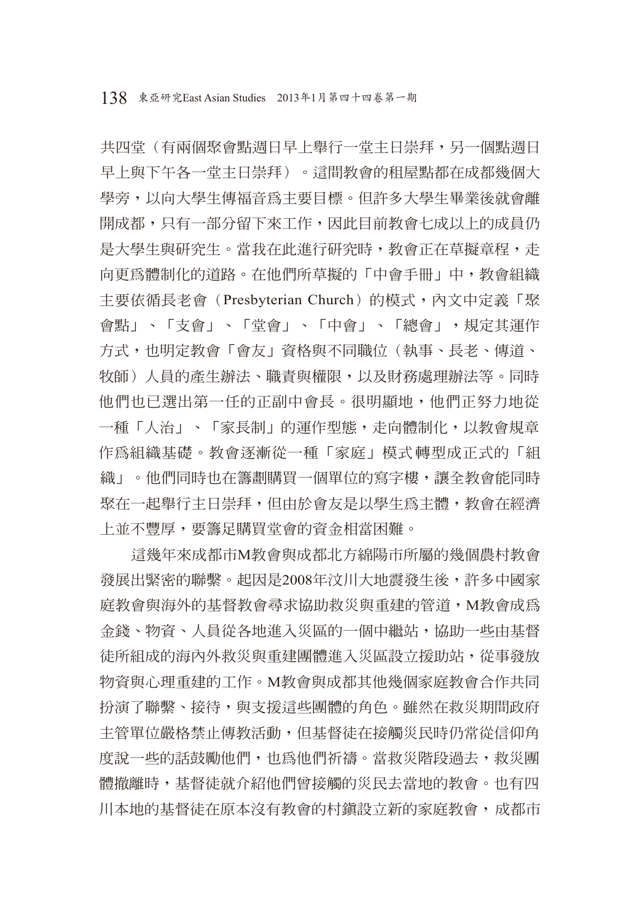共四堂(有兩個聚會點週日早上舉行一堂主日崇拜,另一個點週日 早上與下午各一堂主日崇拜)。這間教會的租屋點都在成都幾個大 學旁,以向大學生傳福音為主要目標。但許多大學生畢業後就會離 開成都,只有一部分留下來工作,因此目前教會七成以上的成員仍 是大學生與研究生。當我在此進行研究時,教會正在草擬章程,走 向更為體制化的道路。在他們所草擬的「中會手冊」中,教會組織 主要依循長老會(Presbyterian Church)的模式,內文中定義「聚 會點」、「支會」、「堂會」、「中會」、「總會」,規定其運作 方式,也明定教會「會友」資格與不同職位(執事、長老、傳道、 牧師)人員的產生辦法、職責與權限,以及財務處理辦法等。同時 他們也已選出第一任的正副中會長。很明顯地,他們正努力地從 一種「人治」、「家長制」的運作型態,走向體制化,以教會規章 作為組織基礎。教會逐漸從一種「家庭」模式轉型成正式的「組 織」。他們同時也在籌劃購買一個單位的寫字樓,讓全教會能同時 聚在一起舉行主日崇拜,但由於會友是以學生為主體,教會在經濟 上並不豐厚,要籌足購買堂會的資金相當困難。

這幾年來成都市M教會與成都北方綿陽市所屬的幾個農村教會 發展出緊密的聯繫。起因是2008年汶川大地震發生後,許多中國家 庭教會與海外的基督教會尋求協助救災與重建的管道,M教會成為 金錢、物資、人員從各地進入災區的一個中繼站,協助一些由基督 徒所組成的海內外救災與重建團體進入災區設立援助站,從事發放 物資與心理重建的工作。M教會與成都其他幾個家庭教會合作共同 扮演了聯繫、接待,與支援這些團體的角色。雖然在救災期間政府 主管單位嚴格禁止傳教活動,但基督徒在接觸災民時仍常從信仰角 度說一些的話鼓勵他們,也為他們祈禱。當救災階段過去,救災團 體撤離時,基督徒就介紹他們曾接觸的災民去當地的教會。也有四 川本地的基督徒在原本沒有教會的村鎮設立新的家庭教會,成都市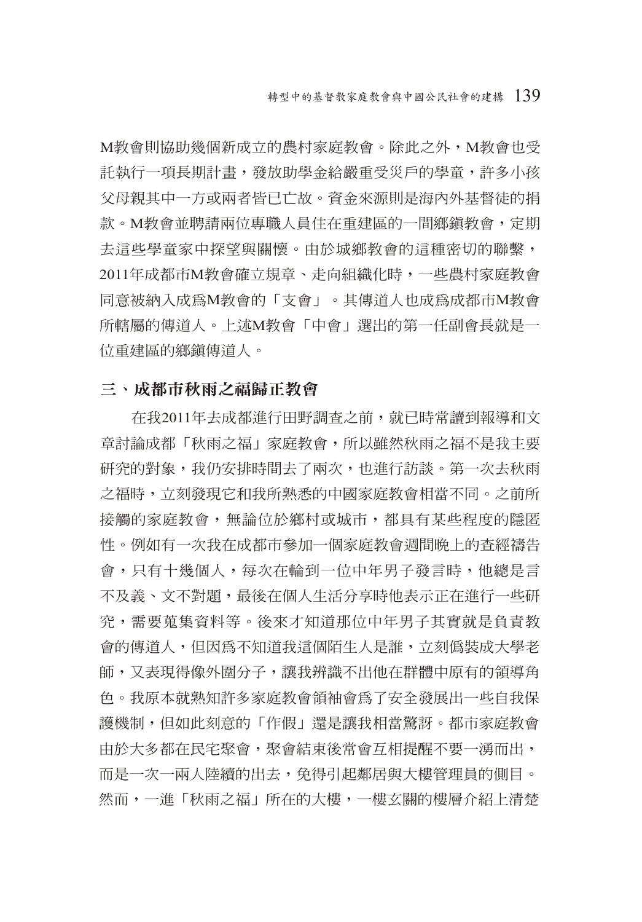M教會則協助幾個新成立的農村家庭教會。除此之外,M教會也受 託執行一項長期計畫,發放助學金給嚴重受災戶的學童,許多小孩 父母親其中一方或兩者皆已亡故。資金來源則是海內外基督徒的捐 款。M教會並聘請兩位專職人員住在重建區的一間鄉鎮教會,定期 去這些學童家中探望與關懷。由於城鄉教會的這種密切的聯繫, 2011年成都市M教會確立規章、走向組織化時,一些農村家庭教會 同意被納入成為M教會的「支會」。其傳道人也成為成都市M教會 所轄屬的傳道人。上述M教會「中會」選出的第一任副會長就是一 位重建區的鄉鎮傳道人。

### 三、成都市秋雨之福歸正教會

在我2011年去成都進行田野調查之前,就已時常讀到報導和文 章討論成都「秋雨之福」家庭教會,所以雖然秋雨之福不是我主要 研究的對象,我仍安排時間去了兩次,也進行訪談。第一次去秋雨 之福時,立刻發現它和我所熟悉的中國家庭教會相當不同。之前所 接觸的家庭教會,無論位於鄉村或城市,都具有某些程度的隱匿 性。例如有一次我在成都市參加一個家庭教會週間晚上的查經禱告 會,只有十幾個人,每次在輪到一位中年男子發言時,他總是言 不及義、文不對題,最後在個人生活分享時他表示正在進行一些研 究,需要蒐集資料等。後來才知道那位中年男子其實就是負責教 會的傳道人,但因為不知道我這個陌生人是誰,立刻偽裝成大學老 師,又表現得像外圍分子,讓我辨識不出他在群體中原有的領導角 色。我原本就熟知許多家庭教會領袖會為了安全發展出一些自我保 護機制,但如此刻意的「作假」還是讓我相當驚訝。都市家庭教會 由於大多都在民宅聚會,聚會結束後常會互相提醒不要一湧而出, 而是一次一兩人陸續的出去,免得引起鄰居與大樓管理員的側目。 然而,一進「秋雨之福」所在的大樓,一樓玄關的樓層介紹上清楚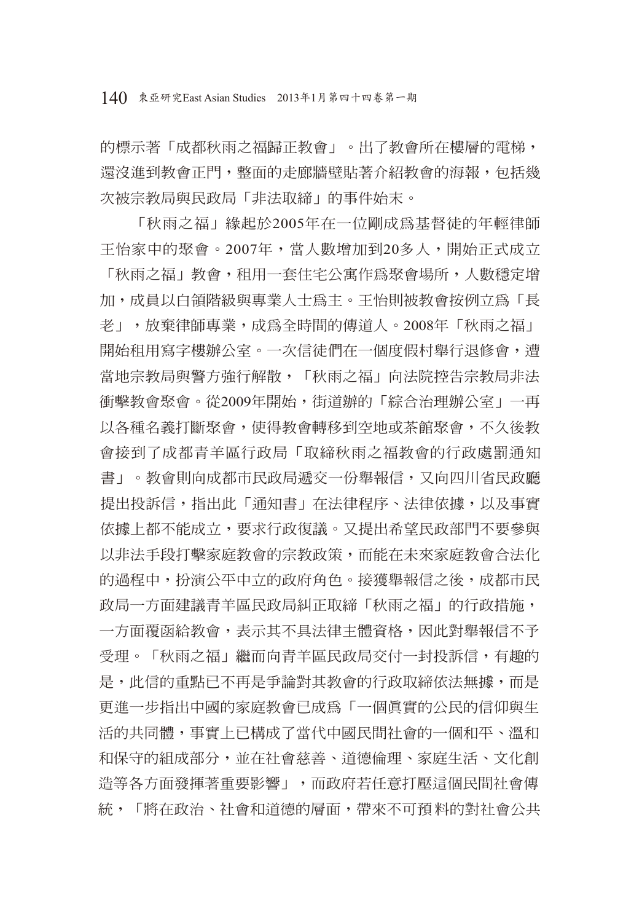140 東亞研究East Asian Studies 2013年1月第四十四卷第一期

的標示著「成都秋雨之福歸正教會」。出了教會所在樓層的電梯, 還沒進到教會正門,整面的走廊牆壁貼著介紹教會的海報,包括幾 次被宗教局與民政局「非法取締」的事件始末。

「秋雨之福」緣起於2005年在一位剛成為基督徒的年輕律師 王怡家中的聚會。2007年,當人數增加到20多人,開始正式成立 「秋雨之福」教會,租用一套住宅公寓作為聚會場所,人數穩定增 加,成員以白領階級與專業人士為主。王怡則被教會按例立為「長 老」,放棄律師專業,成為全時間的傳道人。2008年「秋雨之福」 開始租用寫字樓辦公室。一次信徒們在一個度假村舉行退修會,遭 當地宗教局與警方強行解散,「秋雨之福」向法院控告宗教局非法 衝擊教會聚會。從2009年開始,街道辦的「綜合治理辦公室」一再 以各種名義打斷聚會,使得教會轉移到空地或茶館聚會,不久後教 會接到了成都青羊區行政局「取締秋雨之福教會的行政處罰通知 書」。教會則向成都市民政局遞交一份舉報信,又向四川省民政廳 提出投訴信,指出此「通知書」在法律程序、法律依據,以及事實 依據上都不能成立,要求行政復議。又提出希望民政部門不要參與 以非法手段打擊家庭教會的宗教政策,而能在未來家庭教會合法化 的過程中,扮演公平中立的政府角色。接獲舉報信之後,成都市民 政局一方面建議青羊區民政局糾正取締「秋雨之福」的行政措施, 一方面覆函給教會,表示其不具法律主體資格,因此對舉報信不予 受理。「秋雨之福」繼而向青羊區民政局交付一封投訴信,有趣的 是,此信的重點已不再是爭論對其教會的行政取締依法無據,而是 更進一步指出中國的家庭教會已成為「一個真實的公民的信仰與生 活的共同體,事實上已構成了當代中國民間社會的一個和平、溫和 和保守的組成部分,並在社會慈善、道德倫理、家庭生活、文化創 造等各方面發揮著重要影響」,而政府若任意打壓這個民間社會傳 統,「將在政治、社會和道德的層面,帶來不可預料的對社會公共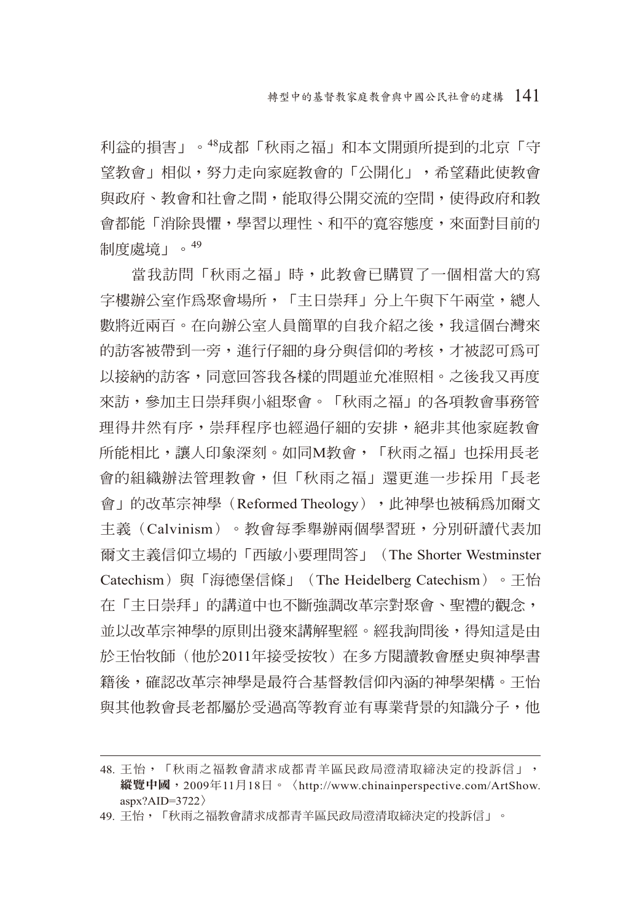利益的損害」。48成都「秋雨之福」和本文開頭所提到的北京「守 望教會」相似,努力走向家庭教會的「公開化」,希望藉此使教會 與政府、教會和社會之間,能取得公開交流的空間,使得政府和教 會都能「消除畏懼,學習以理性、和平的寬容態度,來面對目前的 制度處境」。<sup>49</sup>

當我訪問「秋雨之福」時,此教會已購買了一個相當大的寫 字樓辦公室作為聚會場所,「主日崇拜」分上午與下午兩堂,總人 數將近兩百。在向辦公室人員簡單的自我介紹之後,我這個台灣來 的訪客被帶到一旁,進行仔細的身分與信仰的考核,才被認可為可 以接納的訪客,同意回答我各樣的問題並允准照相。之後我又再度 來訪,參加主日崇拜與小組聚會。「秋雨之福」的各項教會事務管 理得井然有序,崇拜程序也經過仔細的安排,絕非其他家庭教會 所能相比, 讓人印象深刻。如同M教會, 「秋雨之福」也採用長老 會的組織辦法管理教會,但「秋雨之福」還更進一步採用「長老 會」的改革宗神學(Reformed Theology), 此神學也被稱為加爾文 主義(Calvinism)。教會每季舉辦兩個學習班,分別研讀代表加 爾文主義信仰立場的「西敏小要理問答」(The Shorter Westminster Catechism)與「海德堡信條」(The Heidelberg Catechism)。王怡 在「主日崇拜」的講道中也不斷強調改革宗對聚會、聖禮的觀念, 並以改革宗神學的原則出發來講解聖經。經我詢問後,得知這是由 於王怡牧師(他於2011年接受按牧)在多方閱讀教會歷史與神學書 籍後,確認改革宗神學是最符合基督教信仰內涵的神學架構。王怡 與其他教會長老都屬於受過高等教育並有專業背景的知識分子,他

<sup>48.</sup> 王怡,「秋雨之福教會請求成都青羊區民政局澄清取締決定的投訴信」, 縱覽中國,2009年11月18日。〈http://www.chinainperspective.com/ArtShow.  $ansx?AID=3722$ 

<sup>49.</sup> 王怡,「秋雨之福教會請求成都青羊區民政局澄清取締決定的投訴信」。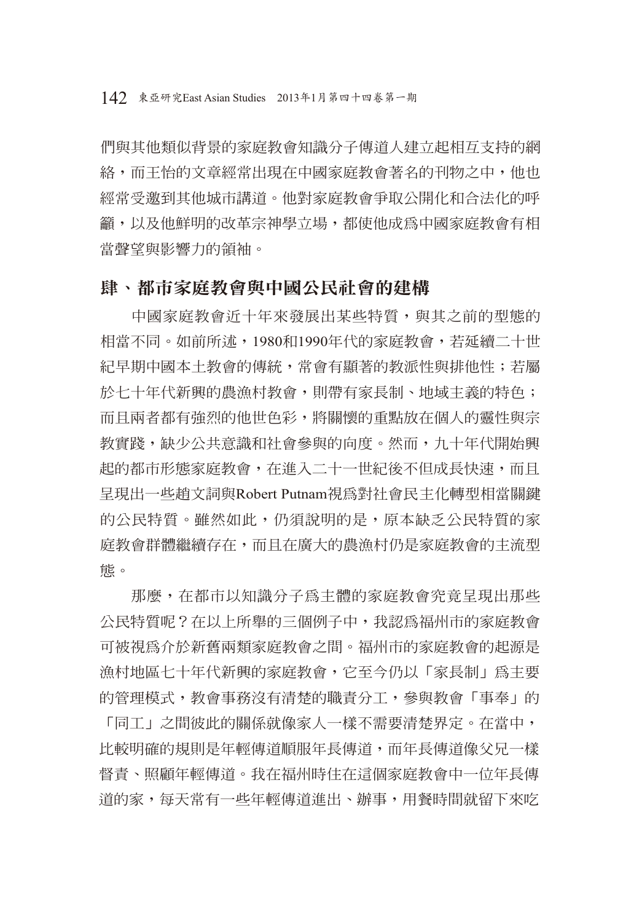們與其他類似背景的家庭教會知識分子傳道人建立起相互支持的網 絡,而王怡的文章經常出現在中國家庭教會著名的刊物之中,他也 經常受邀到其他城市講道。他對家庭教會爭取公開化和合法化的呼 籲,以及他鮮明的改革宗神學立場,都使他成為中國家庭教會有相 當聲望與影響力的領袖。

### 肆、都市家庭教會與中國公民社會的建構

中國家庭教會近十年來發展出某些特質,與其之前的型態的 相當不同。如前所述,1980和1990年代的家庭教會,若延續二十世 紀早期中國本土教會的傳統,常會有顯著的教派性與排他性;若屬 於七十年代新興的農漁村教會,則帶有家長制、地域主義的特色; 而且兩者都有強烈的他世色彩,將關懷的重點放在個人的靈性與宗 教實踐,缺少公共意識和社會參與的向度。然而,九十年代開始興 起的都市形態家庭教會,在進入二十一世紀後不但成長快速,而且 呈現出一些趙文詞與Robert Putnam視為對社會民主化轉型相當關鍵 的公民特質。雖然如此,仍須說明的是,原本缺乏公民特質的家 庭教會群體繼續存在,而且在廣大的農漁村仍是家庭教會的主流型 態。

那麼,在都市以知識分子為主體的家庭教會究竟呈現出那些 公民特質呢?在以上所舉的三個例子中,我認為福州市的家庭教會 可被視為介於新舊兩類家庭教會之間。福州市的家庭教會的起源是 漁村地區七十年代新興的家庭教會,它至今仍以「家長制」為主要 的管理模式,教會事務沒有清楚的職責分工,參與教會「事奉」的

「同工」之間彼此的關係就像家人一樣不需要清楚界定。在當中, 比較明確的規則是年輕傳道順服年長傳道,而年長傳道像父兄一樣 督責、照顧年輕傳道。我在福州時住在這個家庭教會中一位年長傳 道的家,每天常有一些年輕傳道進出、辦事,用餐時間就留下來吃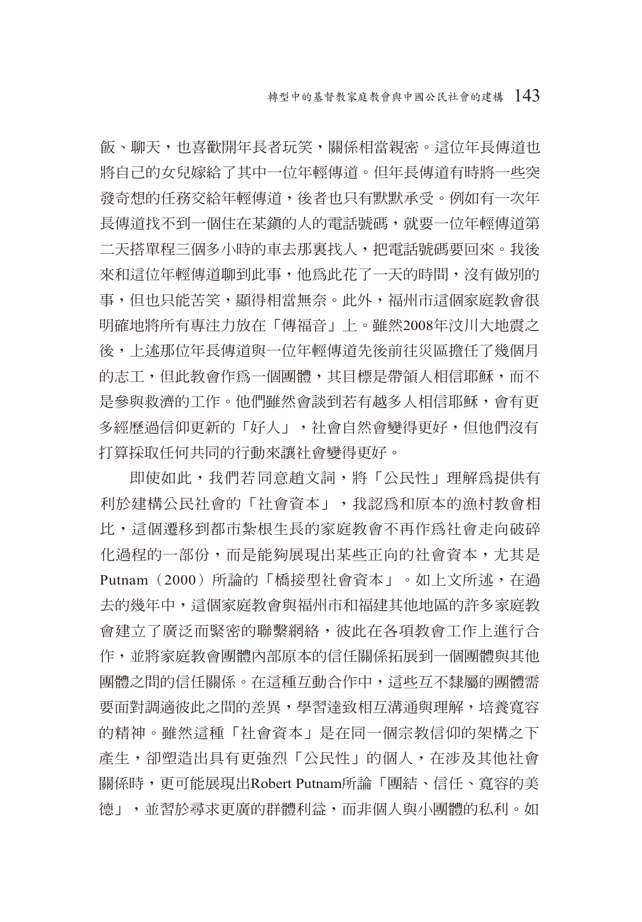飯、聊天,也喜歡開年長者玩笑,關係相當親密。這位年長傳道也 將自己的女兒嫁給了其中一位年輕傳道。但年長傳道有時將一些突 發奇想的任務交給年輕傳道,後者也只有默默承受。例如有一次年 長傳道找不到一個住在某鎮的人的電話號碼,就要一位年輕傳道第 二天搭單程三個多小時的車去那裏找人,把雷話號碼要回來。我後 來和這位年輕傳道聊到此事,他為此花了一天的時間,沒有做別的 事,但也只能苦笑,顯得相當無奈。此外,福州市這個家庭教會很 明確地將所有專注力放在「傳福音」上。雖然2008年汶川大地震之 後,上述那位年長傳道與一位年輕傳道先後前往災區擔任了幾個月 的志工,但此教會作為一個團體,其目標是帶領人相信耶穌,而不 是參與救濟的工作。他們雖然會談到若有越多人相信耶穌,會有更 多經歷過信仰更新的「好人」,社會自然會變得更好,但他們沒有 打算採取任何共同的行動來讓社會變得更好。

即使如此,我們若同意趙文詞,將「公民性」理解為提供有 利於建構公民社會的「社會資本」,我認為和原本的漁村教會相 比,這個遷移到都市紮根生長的家庭教會不再作為社會走向破碎 化過程的一部份,而是能夠展現出某些正向的社會資本,尤其是 Putnam (2000) 所論的「橋接型社會資本」。如上文所述, 在過 去的幾年中,這個家庭教會與福州市和福建其他地區的許多家庭教 會建立了廣泛而緊密的聯繫網絡,彼此在各項教會工作上進行合 作,並將家庭教會團體內部原本的信任關係拓展到一個團體與其他 團體之間的信任關係。在這種互動合作中,這些互不隸屬的團體需 要面對調適彼此之間的差異,學習達致相互溝通與理解,培養寬容 的精神。雖然這種「社會資本」是在同一個宗教信仰的架構之下 産生,卻塑造出具有更強烈「公民性」的個人,在涉及其他社會 關係時,更可能展現出Robert Putnam所論「團結、信任、寬容的美 德」,並習於尋求更廣的群體利益,而非個人與小團體的私利。如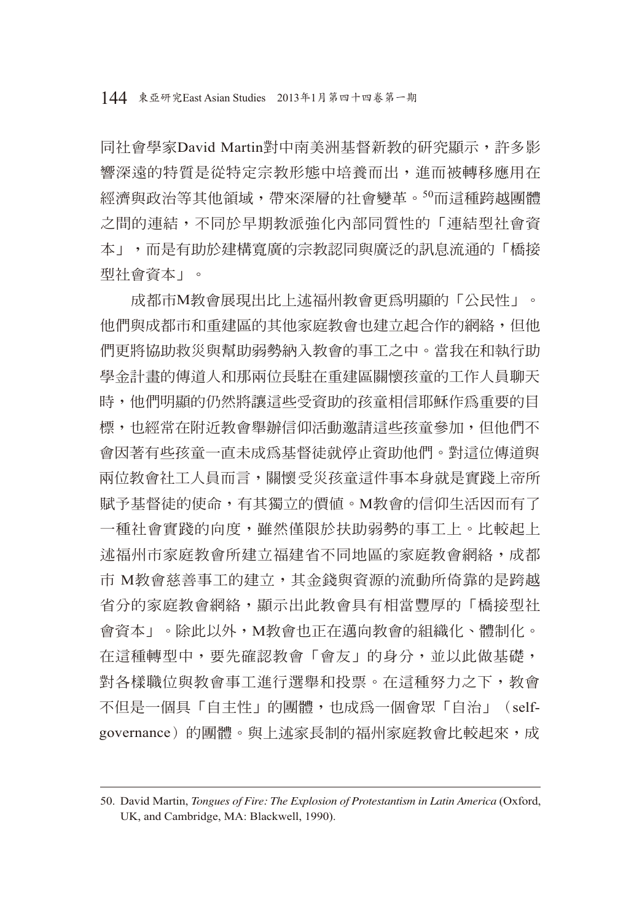同社會學家David Martin對中南美洲基督新教的研究顯示,許多影 響深遠的特質是從特定宗教形態中培養而出,進而被轉移應用在 經濟與政治等其他領域,帶來深層的社會變革。50而這種跨越團體 之間的連結,不同於早期教派強化內部同質性的「連結型社會資 本」,而是有助於建構寬廣的宗教認同與廣泛的訊息流通的「橋接 型社會資本」。

成都市M教會展現出比上述福州教會更為明顯的「公民性」。 他們與成都市和重建區的其他家庭教會也建立起合作的網絡,但他 們更將協助救災與幫助弱勢納入教會的事工之中。當我在和執行助 學金計畫的傳道人和那兩位長駐在重建區關懷孩童的工作人員聊天 時,他們明顯的仍然將讓這些受資助的孩童相信耶穌作為重要的目 標,也經常在附近教會舉辦信仰活動邀請這些孩童參加,但他們不 會因著有些孩童一直未成為基督徒就停止資助他們。對這位傳道與 兩位教會社工人員而言,關懷受災孩童這件事本身就是實踐上帝所 賦予基督徒的使命,有其獨立的價值。M教會的信仰生活因而有了 一種社會實踐的向度,雖然僅限於扶助弱勢的事工上。比較起上 述福州市家庭教會所建立福建省不同地區的家庭教會網絡,成都 市 M教會慈善事工的建立,其金錢與資源的流動所倚靠的是跨越 省分的家庭教會網絡,顯示出此教會具有相當豐厚的「橋接型社 會資本」。除此以外,M教會也正在邁向教會的組織化、體制化。 在這種轉型中,要先確認教會「會友」的身分,並以此做基礎, 對各樣職位與教會事工進行選舉和投票。在這種努力之下,教會 不但是一個具「自主性」的團體,也成為一個會眾「自治」(selfgovernance)的團體。與上述家長制的福州家庭教會比較起來,成

<sup>50.</sup> David Martin, *Tongues of Fire: The Explosion of Protestantism in Latin America* (Oxford, UK, and Cambridge, MA: Blackwell, 1990).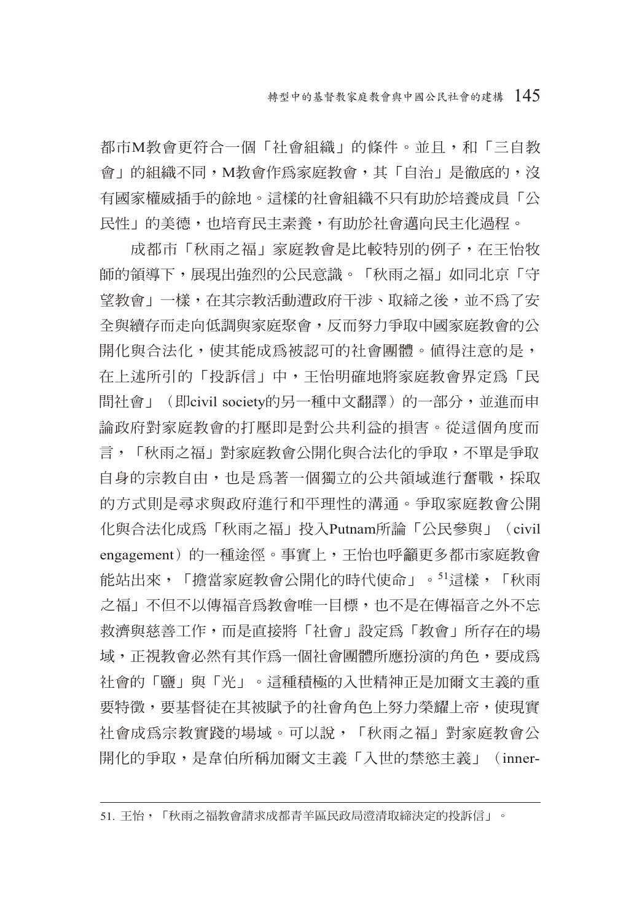都市M教會更符合一個「社會組織」的條件。並且,和「三自教 會 | 的組織不同, M教會作為家庭教會, 其「自治」是徹底的, 沒 有國家權威插手的餘地。這樣的社會組織不只有助於培養成員「公 民性」的美德,也培育民主素養,有助於社會邁向民主化過程。

成都市「秋雨之福」家庭教會是比較特別的例子,在王怡牧 師的領導下,展現出強烈的公民意識。「秋雨之福」如同北京「守 望教會」一樣,在其宗教活動遭政府干涉、取締之後,並不為了安 全與續存而走向低調與家庭聚會,反而努力爭取中國家庭教會的公 開化與合法化,使其能成為被認可的社會團體。值得注意的是, 在上述所引的「投訴信」中,王怡明確地將家庭教會界定為「民 間社會」(即civil society的另一種中文翻譯)的一部分,並進而申 論政府對家庭教會的打壓即是對公共利益的損害。從這個角度而 言,「秋雨之福」對家庭教會公開化與合法化的爭取,不單是爭取 自身的宗教自由,也是為著一個獨立的公共領域進行奮戰,採取 的方式則是尋求與政府進行和平理性的溝通。爭取家庭教會公開 化與合法化成為「秋雨之福」投入Putnam所論「公民參與」(civil engagement)的一種途徑。事實上,王怡也呼籲更多都市家庭教會 能站出來,「擔當家庭教會公開化的時代使命」。51這樣,「秋雨 之福」不旧不以傳福音為教會唯一目標,也不是在傳福音之外不忘 救濟與慈善工作,而是直接將「社會」設定為「教會」所存在的場 域,正視教會必然有其作為一個社會團體所應扮演的角色,要成為 社會的「鹽」與「光」。這種積極的入世精神正是加爾文主義的重 要特徵,要基督徒在其被賦予的社會角色上努力榮耀上帝,使現實 社會成為宗教實踐的場域。可以說,「秋雨之福」對家庭教會公 開化的爭取,是韋伯所稱加爾文主義「入世的禁慾主義」(inner-

<sup>51.</sup> 王怡,「秋雨之福教會請求成都青羊區民政局澄清取締決定的投訴信」。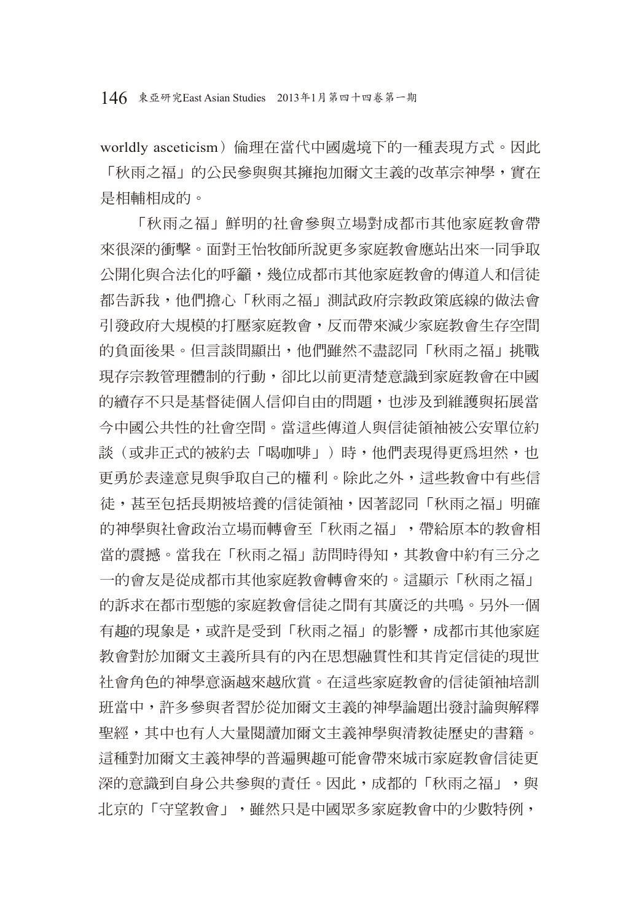146 東亞研究East Asian Studies 2013年1月第四十四卷第一期

worldly asceticism)倫理在當代中國處境下的一種表現方式。因此 「秋雨之福」的公民參與與其擁抱加爾文主義的改革宗神學,實在 是相輔相成的。

「秋雨之福」鮮明的社會參與立場對成都市其他家庭教會帶 來很深的衝擊。面對王怡牧師所說更多家庭教會應站出來一同爭取 公開化與合法化的呼籲,幾位成都市其他家庭教會的傳道人和信徒 都告訴我,他們擔心「秋雨之福」測試政府宗教政策底線的做法會 引發政府大規模的打壓家庭教會,反而帶來減少家庭教會生存空間 的負面後果。但言談間顯出,他們雖然不盡認同「秋雨之福」挑戰 現存宗教管理體制的行動,卻比以前更清楚意識到家庭教會在中國 的續存不只是基督徒個人信仰自由的問題,也涉及到維護與拓展當 今中國公共性的社會空間。當這些傳道人與信徒領袖被公安單位約 談(或非正式的被約去「喝咖啡」)時,他們表現得更為坦然,也 更勇於表達意見與爭取自己的權利。除此之外,這些教會中有些信 徒,甚至句括長期被培養的信徒領袖,因著認同「秋雨之福」明確 的神學與社會政治立場而轉會至「秋雨之福」,帶給原本的教會相 當的震撼。當我在「秋雨之福」訪問時得知,其教會中約有三分之 一的會友是從成都市其他家庭教會轉會來的。這顯示「秋雨之福」 的訴求在都市型態的家庭教會信徒之間有其廣泛的共鳴。另外一個 有趣的現象是,或許是受到「秋雨之福」的影響,成都市其他家庭 教會對於加爾文主義所具有的內在思想融貫性和其肯定信徒的現世 社會角色的神學意涵越來越欣賞。在這些家庭教會的信徒領袖培訓 班當中,許多參與者習於從加爾文主義的神學論題出發討論與解釋 聖經,其中也有人大量閱讀加爾文主義神學與清教徒歷史的書籍。 這種對加爾文主義神學的普遍興趣可能會帶來城市家庭教會信徒更 深的意識到自身公共參與的責任。因此,成都的「秋雨之福」,與 北京的「守望教會」,雖然只是中國眾多家庭教會中的少數特例,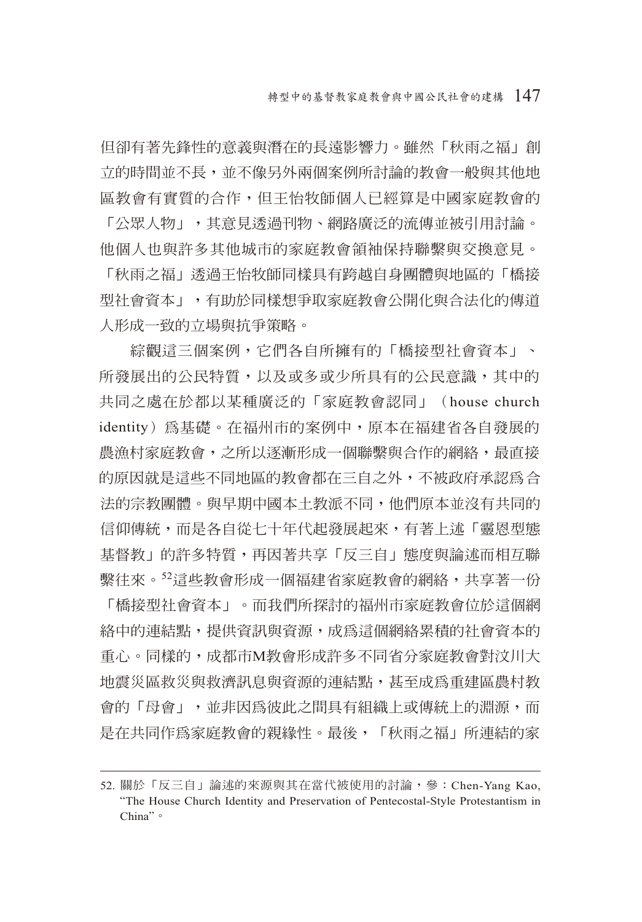但卻有著先鋒性的意義與潛在的長遠影響力。雖然「秋雨之福」創 立的時間並不長,並不像另外兩個案例所討論的教會一般與其他地 區教會有實質的合作,但王怡牧師個人已經算是中國家庭教會的

「公眾人物」,其意見透過刊物、網路廣泛的流傳並被引用討論。 他個人也與許多其他城市的家庭教會領袖保持聯繫與交換意見。

「秋雨之福」透過王怡牧師同樣具有跨越自身團體與地區的「橋接 型社會資本」,有助於同樣想爭取家庭教會公開化與合法化的傳道 人形成一致的立場與抗爭策略。

綜觀這三個案例,它們各自所擁有的「橋接型社會資本」、 所發展出的公民特質,以及或多或少所具有的公民意識,其中的 共同之處在於都以某種廣泛的「家庭教會認同」(house church identity)為基礎。在福州市的案例中,原本在福建省各自發展的 農漁村家庭教會,之所以逐漸形成一個聯繫與合作的網絡,最直接 的原因就是這些不同地區的教會都在三自之外,不被政府承認為合 法的宗教團體。與早期中國本土教派不同,他們原本並沒有共同的 信仰傳統,而是各自從七十年代起發展起來,有著上述「靈恩型態 基督教」的許多特質,再因著共享「反三自」態度與論述而相互聯 繫往來。<sup>52</sup>這些教會形成一個福建省家庭教會的網絡,共享著一份 「橋接型社會資本」。而我們所探討的福州市家庭教會位於這個網 絡中的連結點,提供資訊與資源,成為這個網絡累積的社會資本的 重心。同樣的,成都市M教會形成許多不同省分家庭教會對汶川大 地震災區救災與救濟訊息與資源的連結點,甚至成為重建區農村教 會的「母會」,並非因為彼此之間具有組織上或傳統上的淵源,而 是在共同作為家庭教會的親緣性。最後,「秋雨之福」所連結的家

<sup>52.</sup> 關於「反三自」論述的來源與其在當代被使用的討論,參: Chen-Yang Kao, "The House Church Identity and Preservation of Pentecostal-Style Protestantism in China"。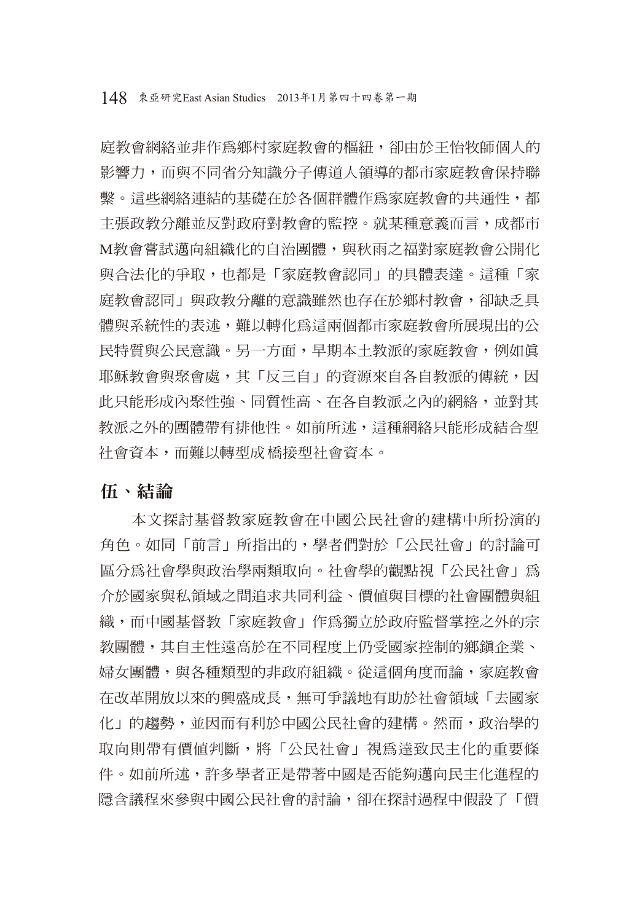庭教會網絡並非作為鄉村家庭教會的樞紐,卻由於王怡牧師個人的 影響力,而與不同省分知識分子傳道人領導的都市家庭教會保持聯 繫。這些網絡連結的基礎在於各個群體作為家庭教會的共通性,都 主張政教分離並反對政府對教會的監控。就某種意義而言,成都市 M教會嘗試邁向組織化的自治團體,與秋雨之福對家庭教會公開化 與合法化的爭取,也都是「家庭教會認同」的具體表達。這種「家 庭教會認同」與政教分離的意識雖然也存在於鄉村教會,卻缺乏具 體與系統性的表述,難以轉化為這兩個都市家庭教會所展現出的公 民特質與公民意識。另一方面,早期本土教派的家庭教會,例如真 耶穌教會與聚會處,其「反三自」的資源來自各自教派的傳統,因 此只能形成內聚性強、同質性高、在各自教派之內的網絡,並對其 教派之外的團體帶有排他性。如前所述,這種網絡只能形成結合型 社會資本,而難以轉型成橋接型社會資本。

伍、結論

本文探討基督教家庭教會在中國公民社會的建構中所扮演的 角色。如同「前言」所指出的,學者們對於「公民社會」的討論可 區分為社會學與政治學兩類取向。社會學的觀點視「公民社會」為 介於國家與私領域之間追求共同利益、價值與目標的社會團體與組 織,而中國基督教「家庭教會」作為獨立於政府監督掌控之外的宗 教團體,其自主性遠高於在不同程度上仍受國家控制的鄉鎮企業、 婦女團體,與各種類型的非政府組織。從這個角度而論,家庭教會 在改革開放以來的興盛成長,無可爭議地有助於社會領域「去國家 化」的趨勢,並因而有利於中國公民社會的建構。然而,政治學的 取向則帶有價值判斷,將「公民社會」視為達致民主化的重要條 件。如前所述,許多學者正是帶著中國是否能夠邁向民主化進程的 隱含議程來參與中國公民社會的討論,卻在探討過程中假設了「價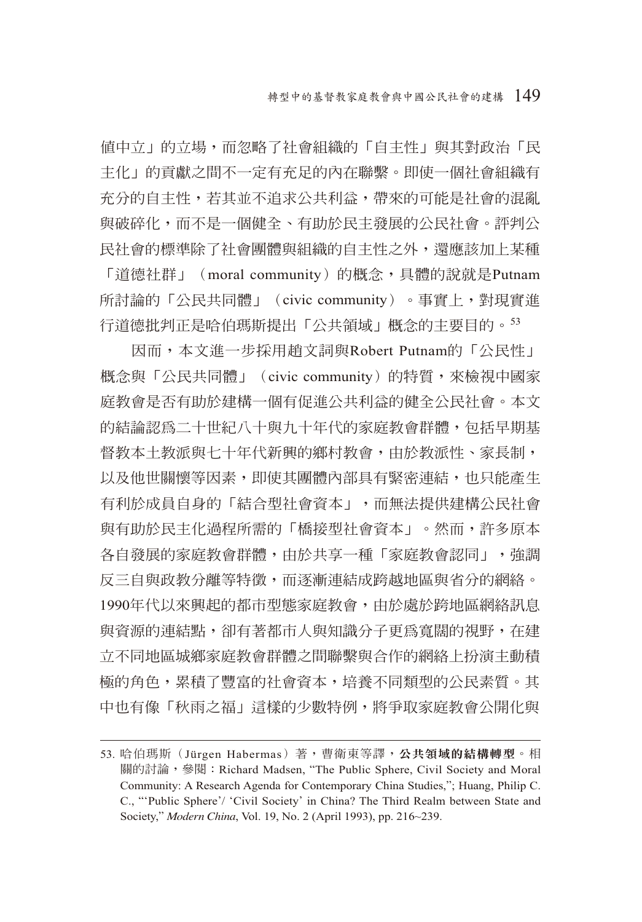值中立」的立場,而忽略了社會組織的「自主性」與其對政治「民 主化」的貢獻之間不一定有充足的內在聯繫。即使一個社會組織有 充分的自主性,若其並不追求公共利益,帶來的可能是社會的混亂 與破碎化,而不是一個健全、有助於民主發展的公民社會。評判公 民社會的標準除了社會團體與組織的自主性之外,還應該加上某種 「道德社群」 (moral community) 的概念,具體的說就是Putnam

所討論的「公民共同體」(civic community)。事實上,對現實進 行道德批判正是哈伯瑪斯提出「公共領域」概念的主要目的。<sup>53</sup>

因而,本文進一步採用趙文詞與Robert Putnam的「公民性」 概念與「公民共同體」(civic community)的特質,來檢視中國家 庭教會是否有助於建構一個有促進公共利益的健全公民社會。本文 的結論認為二十世紀八十與九十年代的家庭教會群體,包括早期基 督教本土教派與七十年代新興的鄉村教會,由於教派性、家長制, 以及他世關懷等因素,即使其團體內部具有緊密連結,也只能產生 有利於成員自身的「結合型社會資本」,而無法提供建構公民社會 與有助於民主化過程所需的「橋接型社會資本」。然而,許多原本 各自發展的家庭教會群體,由於共享一種「家庭教會認同」,強調 反三自與政教分離等特徵,而逐漸連結成跨越地區與省分的網絡。 1990年代以來興起的都市型態家庭教會,由於處於跨地區網絡訊息 與資源的連結點,卻有著都市人與知識分子更為寬闊的視野,在建 立不同地區城鄉家庭教會群體之間聯繫與合作的網絡上扮演主動積 極的角色,累積了豐富的社會資本,培養不同類型的公民素質。其 中也有像「秋雨之福」這樣的少數特例,將爭取家庭教會公開化與

<sup>53.</sup> 哈伯瑪斯(Jürgen Habermas)著,曹衛東等譯,公共領域的結構轉型。相 關的討論,參閱:Richard Madsen, "The Public Sphere, Civil Society and Moral Community: A Research Agenda for Contemporary China Studies,"; Huang, Philip C. C., "'Public Sphere'/ 'Civil Society' in China? The Third Realm between State and Society," *Modern China*, Vol. 19, No. 2 (April 1993), pp. 216~239.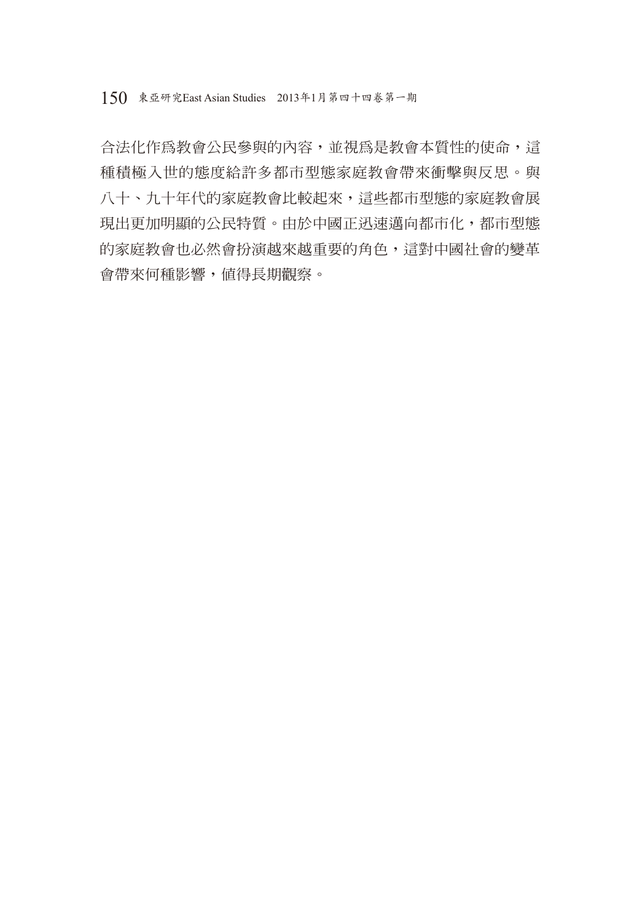合法化作為教會公民參與的內容,並視為是教會本質性的使命,這 種積極入世的態度給許多都市型態家庭教會帶來衝擊與反思。與 八十、九十年代的家庭教會比較起來,這些都市型態的家庭教會展 現出更加明顯的公民特質。由於中國正迅速邁向都市化,都市型態 的家庭教會也必然會扮演越來越重要的角色,這對中國社會的變革 會帶來何種影響,值得長期觀察。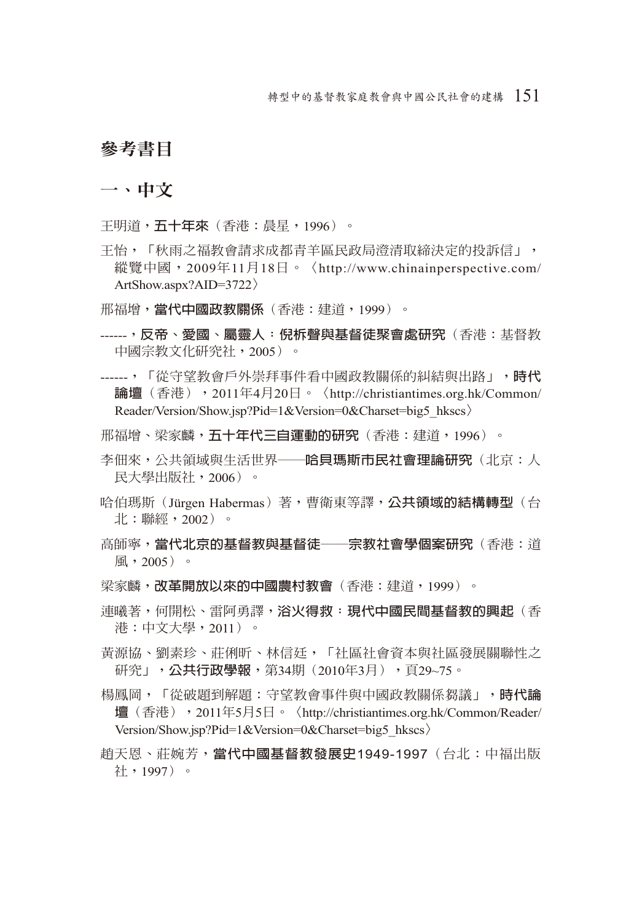## 參考書目

一、中文

王明道,**五十年來**(香港:晨星,1996)。

- 王怡,「秋雨之福教會請求成都青羊區民政局澄清取締決定的投訴信」, 縱覽中國, 2009年11月18日。〈http://www.chinainperspective.com/ ArtShow.aspx?AID=3722〉
- 邢福增,**當代中國政教關係**(香港:建道,1999)。
- ------,**反帝、愛國、屬靈人:倪柝聲與基督徒聚會處研究**(香港:基督教 中國宗教文化研究社,2005)。
- ------,「從守望教會戶外崇拜事件看中國政教關係的糾結與出路」,**時代 論壇**(香港),2011年4月20日。〈http://christiantimes.org.hk/Common/ Reader/Version/Show.jsp?Pid=1&Version=0&Charset=big5\_hkscs〉
- 邢福增、梁家麟,**五十年代三自運動的研究**(香港:建道,1996)。
- 李佃來,公共領域與生活世界──**哈貝瑪斯市民社會理論研究**(北京:人 民大學出版社,2006)。
- 哈伯瑪斯(Jürgen Habermas)著,曹衛東等譯,**公共領域的結構轉型**(台 北:聯經,2002)。
- 高師寧,**當代北京的基督教與基督徒──宗教社會學個案研究**(香港:道 風,2005)。
- 梁家麟,**改革開放以來的中國農村教會**(香港:建道,1999)。
- 連曦著,何開松、雷阿勇譯,**浴火得救:現代中國民間基督教的興起**(香 港:中文大學,2011)。
- 黃源協、劉素珍、莊俐昕、林信廷,「社區社會資本與社區發展關聯性之 研究」,**公共行政學報**,第34期(2010年3月),頁29~75。
- 楊鳳岡,「從破題到解題:守望教會事件與中國政教關係芻議」,**時代論 壇**(香港),2011年5月5日。〈http://christiantimes.org.hk/Common/Reader/ Version/Show.jsp?Pid=1&Version=0&Charset=big5\_hkscs〉
- 趙天恩、莊婉芳,**當代中國基督教發展史**1949-1997(台北:中福出版 社,1997)。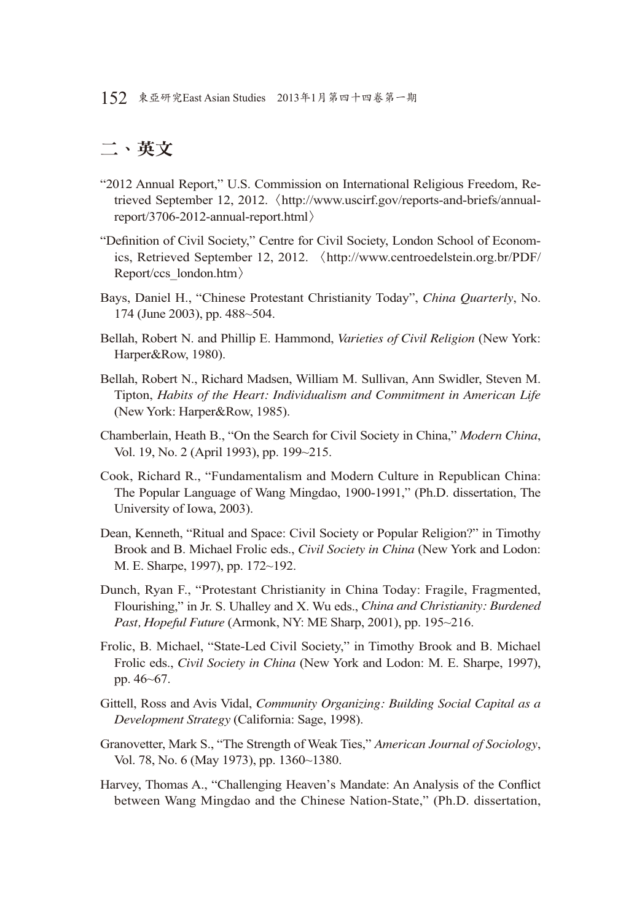## 二、英文

- "2012 Annual Report," U.S. Commission on International Religious Freedom, Retrieved September 12, 2012.〈http://www.uscirf.gov/reports-and-briefs/annualreport/3706-2012-annual-report.html〉
- "Definition of Civil Society," Centre for Civil Society, London School of Economics, Retrieved September 12, 2012. 〈http://www.centroedelstein.org.br/PDF/ Report/ccs\_london.htm〉
- Bays, Daniel H., "Chinese Protestant Christianity Today", *China Quarterly*, No. 174 (June 2003), pp. 488~504.
- Bellah, Robert N. and Phillip E. Hammond, *Varieties of Civil Religion* (New York: Harper&Row, 1980).
- Bellah, Robert N., Richard Madsen, William M. Sullivan, Ann Swidler, Steven M. Tipton, *Habits of the Heart: Individualism and Commitment in American Life* (New York: Harper&Row, 1985).
- Chamberlain, Heath B., "On the Search for Civil Society in China," *Modern China*, Vol. 19, No. 2 (April 1993), pp. 199~215.
- Cook, Richard R., "Fundamentalism and Modern Culture in Republican China: The Popular Language of Wang Mingdao, 1900-1991," (Ph.D. dissertation, The University of Iowa, 2003).
- Dean, Kenneth, "Ritual and Space: Civil Society or Popular Religion?" in Timothy Brook and B. Michael Frolic eds., *Civil Society in China* (New York and Lodon: M. E. Sharpe, 1997), pp. 172~192.
- Dunch, Ryan F., "Protestant Christianity in China Today: Fragile, Fragmented, Flourishing," in Jr. S. Uhalley and X. Wu eds., *China and Christianity: Burdened Past, Hopeful Future* (Armonk, NY: ME Sharp, 2001), pp. 195~216.
- Frolic, B. Michael, "State-Led Civil Society," in Timothy Brook and B. Michael Frolic eds., *Civil Society in China* (New York and Lodon: M. E. Sharpe, 1997), pp. 46~67.
- Gittell, Ross and Avis Vidal, *Community Organizing: Building Social Capital as a Development Strategy* (California: Sage, 1998).
- Granovetter, Mark S., "The Strength of Weak Ties," *American Journal of Sociology*, Vol. 78, No. 6 (May 1973), pp. 1360~1380.
- Harvey, Thomas A., "Challenging Heaven's Mandate: An Analysis of the Conflict between Wang Mingdao and the Chinese Nation-State," (Ph.D. dissertation,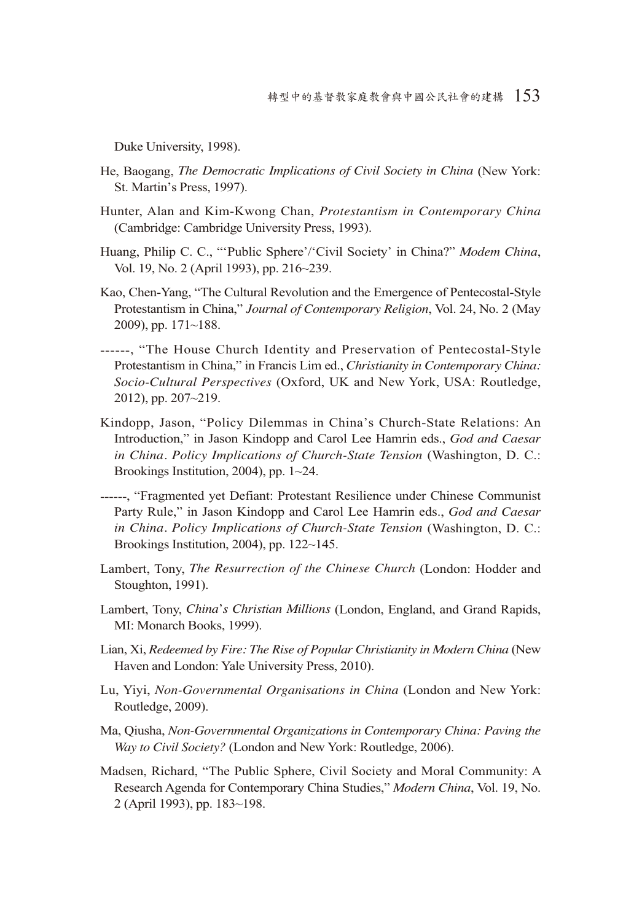Duke University, 1998).

- He, Baogang, *The Democratic Implications of Civil Society in China* (New York: St. Martin's Press, 1997).
- Hunter, Alan and Kim-Kwong Chan, *Protestantism in Contemporary China* (Cambridge: Cambridge University Press, 1993).
- Huang, Philip C. C., "'Public Sphere'/'Civil Society' in China?" *Modem China*, Vol. 19, No. 2 (April 1993), pp. 216~239.
- Kao, Chen-Yang, "The Cultural Revolution and the Emergence of Pentecostal-Style Protestantism in China," *Journal of Contemporary Religion*, Vol. 24, No. 2 (May 2009), pp. 171~188.
- ------, "The House Church Identity and Preservation of Pentecostal-Style Protestantism in China," in Francis Lim ed., *Christianity in Contemporary China: Socio-Cultural Perspectives* (Oxford, UK and New York, USA: Routledge, 2012), pp. 207~219.
- Kindopp, Jason, "Policy Dilemmas in China's Church-State Relations: An Introduction," in Jason Kindopp and Carol Lee Hamrin eds., *God and Caesar in China. Policy Implications of Church-State Tension* (Washington, D. C.: Brookings Institution, 2004), pp. 1~24.
- ------, "Fragmented yet Defiant: Protestant Resilience under Chinese Communist Party Rule," in Jason Kindopp and Carol Lee Hamrin eds., *God and Caesar in China. Policy Implications of Church-State Tension* (Washington, D. C.: Brookings Institution, 2004), pp. 122~145.
- Lambert, Tony, *The Resurrection of the Chinese Church* (London: Hodder and Stoughton, 1991).
- Lambert, Tony, *China*'*s Christian Millions* (London, England, and Grand Rapids, MI: Monarch Books, 1999).
- Lian, Xi, *Redeemed by Fire: The Rise of Popular Christianity in Modern China* (New Haven and London: Yale University Press, 2010).
- Lu, Yiyi, *Non-Governmental Organisations in China* (London and New York: Routledge, 2009).
- Ma, Qiusha, *Non-Governmental Organizations in Contemporary China: Paving the Way to Civil Society?* (London and New York: Routledge, 2006).
- Madsen, Richard, "The Public Sphere, Civil Society and Moral Community: A Research Agenda for Contemporary China Studies," *Modern China*, Vol. 19, No. 2 (April 1993), pp. 183~198.